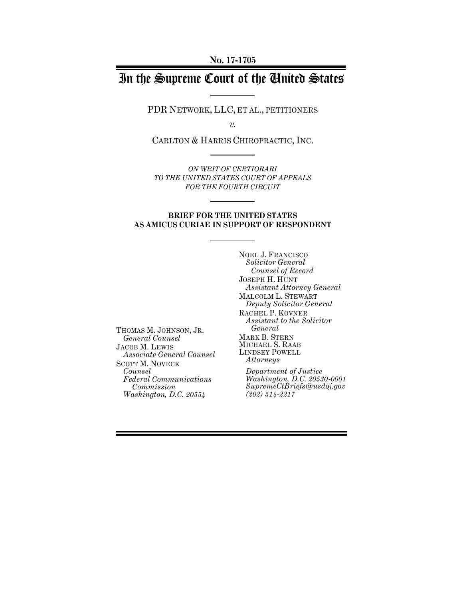## In the Supreme Court of the United States

PDR NETWORK, LLC, ET AL., PETITIONERS

*v.*

CARLTON & HARRIS CHIROPRACTIC, INC.

*ON WRIT OF CERTIORARI TO THE UNITED STATES COURT OF APPEALS FOR THE FOURTH CIRCUIT*

#### **BRIEF FOR THE UNITED STATES AS AMICUS CURIAE IN SUPPORT OF RESPONDENT**

THOMAS M. JOHNSON, JR. *General Counsel*  JACOB M. LEWIS *Associate General Counsel* SCOTT M. NOVECK *Counsel Federal Communications Commission Washington, D.C. 20554*

NOEL J. FRANCISCO *Solicitor General Counsel of Record* JOSEPH H. HUNT *Assistant Attorney General* MALCOLM L. STEWART *Deputy Solicitor General* RACHEL P. KOVNER *Assistant to the Solicitor General* MARK B. STERN MICHAEL S. RAAB LINDSEY POWELL *Attorneys Department of Justice Washington, D.C. 20530-0001 SupremeCtBriefs@usdoj.gov (202) 514-2217*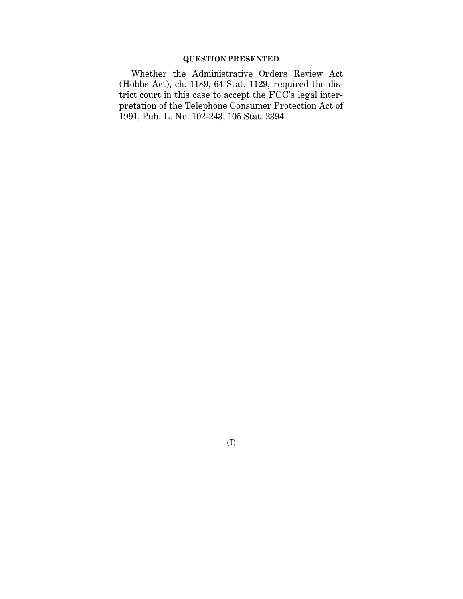### **QUESTION PRESENTED**

Whether the Administrative Orders Review Act (Hobbs Act), ch. 1189, 64 Stat. 1129, required the district court in this case to accept the FCC's legal interpretation of the Telephone Consumer Protection Act of 1991, Pub. L. No. 102-243, 105 Stat. 2394.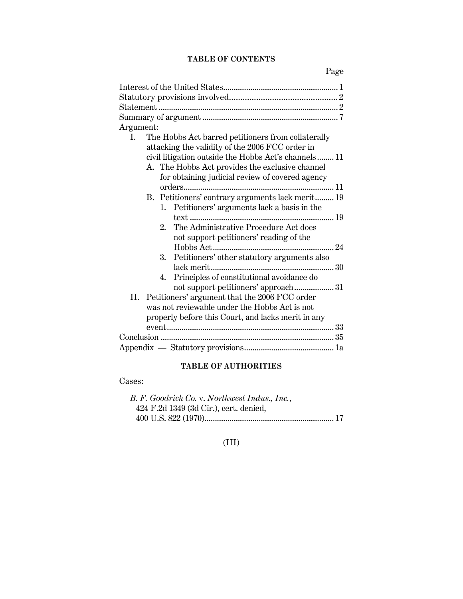## **TABLE OF CONTENTS**

Page

| Argument:                                                |
|----------------------------------------------------------|
| The Hobbs Act barred petitioners from collaterally<br>L. |
| attacking the validity of the 2006 FCC order in          |
| civil litigation outside the Hobbs Act's channels 11     |
| A. The Hobbs Act provides the exclusive channel          |
| for obtaining judicial review of covered agency          |
|                                                          |
| B. Petitioners' contrary arguments lack merit 19         |
| Petitioners' arguments lack a basis in the<br>1.         |
|                                                          |
| 2. The Administrative Procedure Act does                 |
| not support petitioners' reading of the                  |
|                                                          |
| 3. Petitioners' other statutory arguments also           |
|                                                          |
| 4. Principles of constitutional avoidance do             |
| not support petitioners' approach 31                     |
| II. Petitioners' argument that the 2006 FCC order        |
| was not reviewable under the Hobbs Act is not            |
| properly before this Court, and lacks merit in any       |
|                                                          |
|                                                          |
|                                                          |

## **TABLE OF AUTHORITIES**

Cases:

| B. F. Goodrich Co. v. Northwest Indus., Inc., |  |
|-----------------------------------------------|--|
| 424 F.2d 1349 (3d Cir.), cert. denied,        |  |
|                                               |  |

## (III)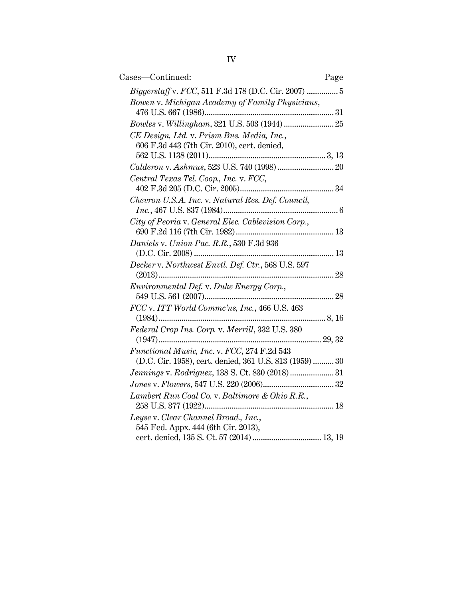| Cases—Continued:                                             | Page |
|--------------------------------------------------------------|------|
| <i>Biggerstaff v. FCC</i> , 511 F.3d 178 (D.C. Cir. 2007)  5 |      |
| Bowen v. Michigan Academy of Family Physicians,              |      |
|                                                              |      |
| Bowles v. Willingham, 321 U.S. 503 (1944)  25                |      |
| CE Design, Ltd. v. Prism Bus. Media, Inc.,                   |      |
| 606 F.3d 443 (7th Cir. 2010), cert. denied,                  |      |
|                                                              |      |
|                                                              |      |
| Central Texas Tel. Coop., Inc. v. FCC,                       |      |
|                                                              |      |
| Chevron U.S.A. Inc. v. Natural Res. Def. Council,            |      |
|                                                              |      |
| City of Peoria v. General Elec. Cablevision Corp.,           |      |
|                                                              |      |
| Daniels v. Union Pac. R.R., 530 F.3d 936                     |      |
| Decker v. Northwest Envtl. Def. Ctr., 568 U.S. 597           |      |
|                                                              |      |
| <i>Environmental Def. v. Duke Energy Corp.,</i>              |      |
|                                                              |      |
| FCC v. ITT World Commc'ns, Inc., 466 U.S. 463                |      |
|                                                              |      |
| Federal Crop Ins. Corp. v. Merrill, 332 U.S. 380             |      |
|                                                              |      |
| Functional Music, Inc. v. FCC, 274 F.2d 543                  |      |
| (D.C. Cir. 1958), cert. denied, 361 U.S. 813 (1959)  30      |      |
| Jennings v. Rodriguez, 138 S. Ct. 830 (2018)  31             |      |
|                                                              |      |
| Lambert Run Coal Co. v. Baltimore & Ohio R.R.,               |      |
|                                                              |      |
| Leyse v. Clear Channel Broad., Inc.,                         |      |
| 545 Fed. Appx. 444 (6th Cir. 2013),                          |      |
| cert. denied, 135 S. Ct. 57 (2014)  13, 19                   |      |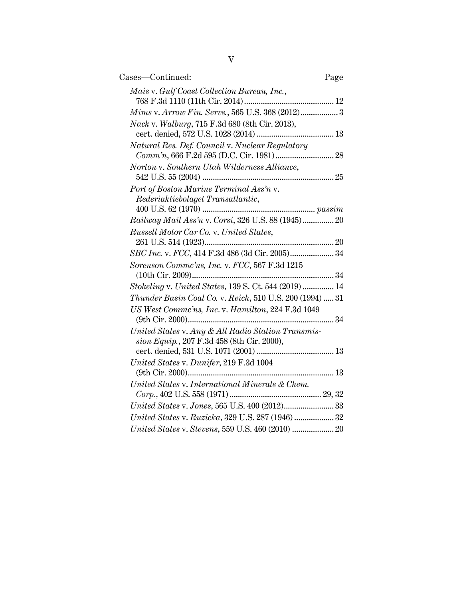| Cases—Continued:                                                                                 | Page |
|--------------------------------------------------------------------------------------------------|------|
| Mais v. Gulf Coast Collection Bureau, Inc.,                                                      |      |
| Mims v. Arrow Fin. Servs., 565 U.S. 368 (2012) 3                                                 |      |
| <i>Nack v. Walburg, 715 F.3d 680 (8th Cir. 2013),</i>                                            |      |
| Natural Res. Def. Council v. Nuclear Regulatory                                                  |      |
| Norton v. Southern Utah Wilderness Alliance,                                                     |      |
| Port of Boston Marine Terminal Ass'n v.<br>Rederiaktiebolaget Transatlantic,                     |      |
| Railway Mail Ass'n v. Corsi, 326 U.S. 88 (1945) 20                                               |      |
| Russell Motor Car Co. v. United States,                                                          |      |
|                                                                                                  |      |
| SBC Inc. v. FCC, 414 F.3d 486 (3d Cir. 2005) 34                                                  |      |
| Sorenson Commc'ns, Inc. v. FCC, 567 F.3d 1215                                                    |      |
|                                                                                                  |      |
| Stokeling v. United States, 139 S. Ct. 544 (2019)  14                                            |      |
| <i>Thunder Basin Coal Co. v. Reich</i> , 510 U.S. 200 (1994)  31                                 |      |
| US West Commc'ns, Inc. v. Hamilton, 224 F.3d 1049                                                |      |
|                                                                                                  |      |
| United States v. Any & All Radio Station Transmis-<br>sion Equip., 207 F.3d 458 (8th Cir. 2000), |      |
|                                                                                                  |      |
| United States v. Dunifer, 219 F.3d 1004                                                          |      |
|                                                                                                  |      |
| United States v. International Minerals & Chem.                                                  |      |
|                                                                                                  |      |
| United States v. Ruzicka, 329 U.S. 287 (1946) 32                                                 |      |
|                                                                                                  |      |
|                                                                                                  |      |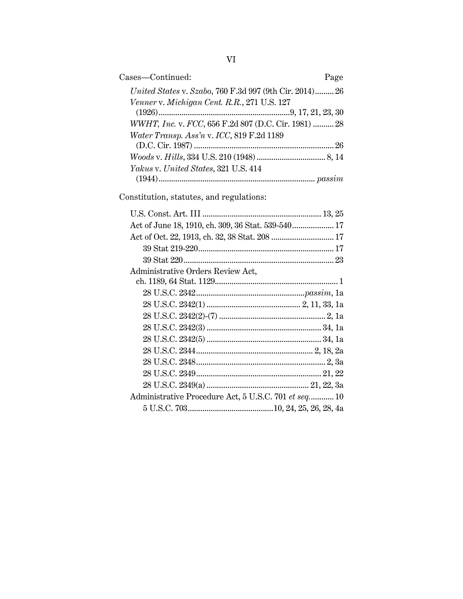| Cases—Continued:                                        | Page |
|---------------------------------------------------------|------|
| United States v. Szabo, 760 F.3d 997 (9th Cir. 2014) 26 |      |
| Venner v. Michigan Cent. R.R., 271 U.S. 127             |      |
|                                                         |      |
| WWHT, Inc. v. FCC, 656 F.2d 807 (D.C. Cir. 1981)  28    |      |
| Water Transp. Ass'n v. ICC, 819 F.2d 1189               |      |
|                                                         |      |
|                                                         |      |
| Yakus v. United States, 321 U.S. 414                    |      |
|                                                         |      |

Constitution, statutes, and regulations:

| Act of June 18, 1910, ch. 309, 36 Stat. 539-540 17   |  |
|------------------------------------------------------|--|
| Act of Oct. 22, 1913, ch. 32, 38 Stat. 208  17       |  |
|                                                      |  |
|                                                      |  |
| Administrative Orders Review Act,                    |  |
|                                                      |  |
|                                                      |  |
|                                                      |  |
|                                                      |  |
|                                                      |  |
|                                                      |  |
|                                                      |  |
|                                                      |  |
|                                                      |  |
|                                                      |  |
| Administrative Procedure Act, 5 U.S.C. 701 et seq 10 |  |
|                                                      |  |
|                                                      |  |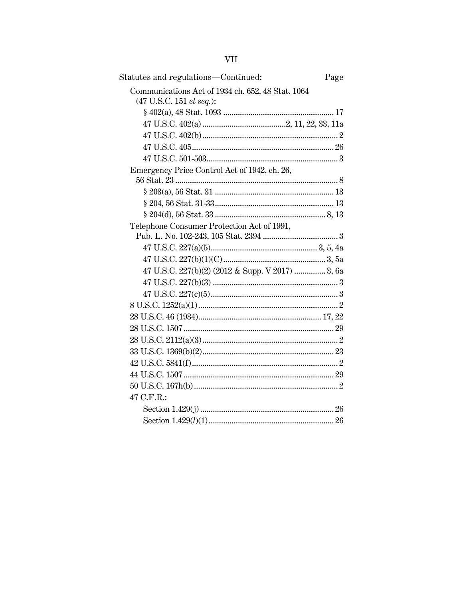| Statutes and regulations—Continued:                                           | Page |
|-------------------------------------------------------------------------------|------|
| Communications Act of 1934 ch. 652, 48 Stat. 1064<br>(47 U.S.C. 151 et seq.): |      |
|                                                                               |      |
|                                                                               |      |
|                                                                               |      |
|                                                                               |      |
|                                                                               |      |
| Emergency Price Control Act of 1942, ch. 26,                                  |      |
|                                                                               |      |
|                                                                               |      |
|                                                                               |      |
|                                                                               |      |
| Telephone Consumer Protection Act of 1991,                                    |      |
|                                                                               |      |
|                                                                               |      |
|                                                                               |      |
| 47 U.S.C. 227(b)(2) (2012 & Supp. V 2017)  3, 6a                              |      |
|                                                                               |      |
|                                                                               |      |
|                                                                               |      |
|                                                                               |      |
|                                                                               |      |
|                                                                               |      |
|                                                                               |      |
|                                                                               |      |
|                                                                               |      |
|                                                                               |      |
| 47 C.F.R.:                                                                    |      |
|                                                                               |      |
|                                                                               |      |

# **VII**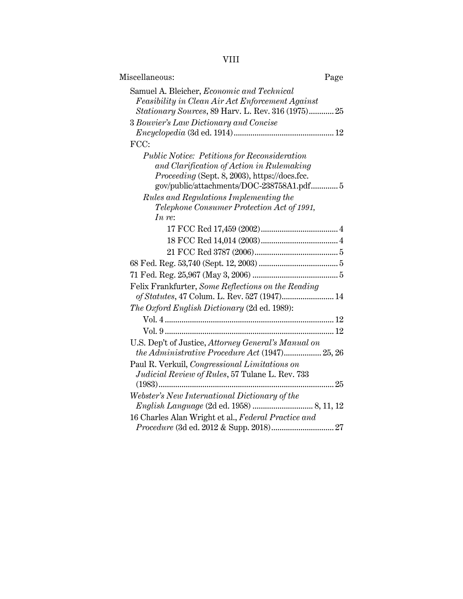VIII

| Miscellaneous:                                                                                                                                       | Page |
|------------------------------------------------------------------------------------------------------------------------------------------------------|------|
| Samuel A. Bleicher, Economic and Technical<br>Feasibility in Clean Air Act Enforcement Against<br>Stationary Sources, 89 Harv. L. Rev. 316 (1975) 25 |      |
| 3 Bouvier's Law Dictionary and Concise                                                                                                               |      |
| FCC:                                                                                                                                                 |      |
| Public Notice: Petitions for Reconsideration                                                                                                         |      |
| and Clarification of Action in Rulemaking                                                                                                            |      |
| Proceeding (Sept. 8, 2003), https://docs.fcc.                                                                                                        |      |
| gov/public/attachments/DOC-238758A1.pdf 5                                                                                                            |      |
| Rules and Regulations Implementing the                                                                                                               |      |
| Telephone Consumer Protection Act of 1991,<br>In re:                                                                                                 |      |
|                                                                                                                                                      |      |
|                                                                                                                                                      |      |
|                                                                                                                                                      |      |
|                                                                                                                                                      |      |
|                                                                                                                                                      |      |
|                                                                                                                                                      |      |
| Felix Frankfurter, Some Reflections on the Reading                                                                                                   |      |
| of Statutes, 47 Colum. L. Rev. 527 (1947) 14                                                                                                         |      |
| The Oxford English Dictionary (2d ed. 1989):                                                                                                         |      |
|                                                                                                                                                      |      |
|                                                                                                                                                      |      |
| U.S. Dep't of Justice, Attorney General's Manual on                                                                                                  |      |
| the Administrative Procedure Act (1947) 25, 26                                                                                                       |      |
| Paul R. Verkuil, Congressional Limitations on                                                                                                        |      |
| Judicial Review of Rules, 57 Tulane L. Rev. 733                                                                                                      |      |
| $(1983)$                                                                                                                                             | 25   |
| Webster's New International Dictionary of the                                                                                                        |      |
|                                                                                                                                                      |      |
| 16 Charles Alan Wright et al., Federal Practice and                                                                                                  |      |
|                                                                                                                                                      |      |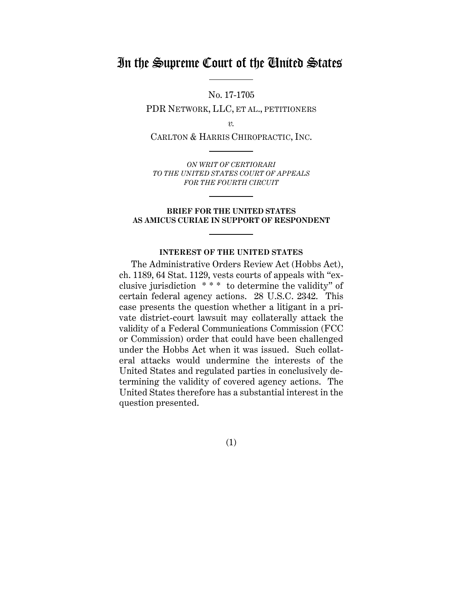## In the Supreme Court of the United States

No. 17-1705 PDR NETWORK, LLC, ET AL., PETITIONERS

*v.*

CARLTON & HARRIS CHIROPRACTIC, INC.

*ON WRIT OF CERTIORARI TO THE UNITED STATES COURT OF APPEALS FOR THE FOURTH CIRCUIT*

#### **BRIEF FOR THE UNITED STATES AS AMICUS CURIAE IN SUPPORT OF RESPONDENT**

#### **INTEREST OF THE UNITED STATES**

The Administrative Orders Review Act (Hobbs Act), ch. 1189, 64 Stat. 1129, vests courts of appeals with "exclusive jurisdiction \* \* \* to determine the validity" of certain federal agency actions. 28 U.S.C. 2342. This case presents the question whether a litigant in a private district-court lawsuit may collaterally attack the validity of a Federal Communications Commission (FCC or Commission) order that could have been challenged under the Hobbs Act when it was issued. Such collateral attacks would undermine the interests of the United States and regulated parties in conclusively determining the validity of covered agency actions. The United States therefore has a substantial interest in the question presented.

(1)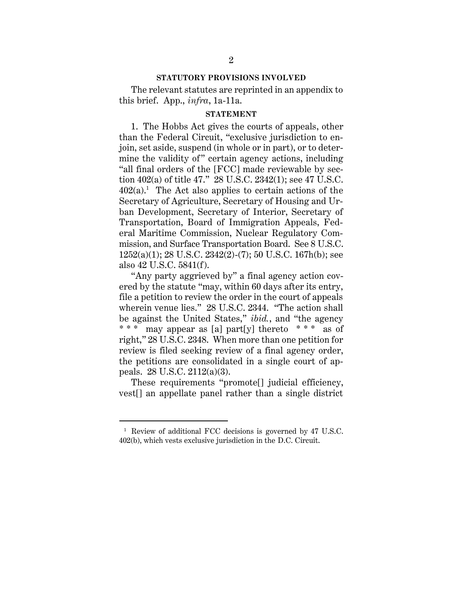#### **STATUTORY PROVISIONS INVOLVED**

The relevant statutes are reprinted in an appendix to this brief. App., *infra*, 1a-11a.

#### **STATEMENT**

1. The Hobbs Act gives the courts of appeals, other than the Federal Circuit, "exclusive jurisdiction to enjoin, set aside, suspend (in whole or in part), or to determine the validity of" certain agency actions, including "all final orders of the [FCC] made reviewable by section 402(a) of title 47." 28 U.S.C. 2342(1); see 47 U.S.C.  $402(a)$ . The Act also applies to certain actions of the Secretary of Agriculture, Secretary of Housing and Urban Development, Secretary of Interior, Secretary of Transportation, Board of Immigration Appeals, Federal Maritime Commission, Nuclear Regulatory Commission, and Surface Transportation Board. See 8 U.S.C. 1252(a)(1); 28 U.S.C. 2342(2)-(7); 50 U.S.C. 167h(b); see also 42 U.S.C. 5841(f).

"Any party aggrieved by" a final agency action covered by the statute "may, within 60 days after its entry, file a petition to review the order in the court of appeals wherein venue lies." 28 U.S.C. 2344. "The action shall be against the United States," *ibid.*, and "the agency \*\*\* may appear as [a] part[y] thereto \*\*\* as of right," 28 U.S.C. 2348. When more than one petition for review is filed seeking review of a final agency order, the petitions are consolidated in a single court of appeals. 28 U.S.C. 2112(a)(3).

These requirements "promote[] judicial efficiency, vest[] an appellate panel rather than a single district

 $\overline{a}$ 

<sup>&</sup>lt;sup>1</sup> Review of additional FCC decisions is governed by 47 U.S.C. 402(b), which vests exclusive jurisdiction in the D.C. Circuit.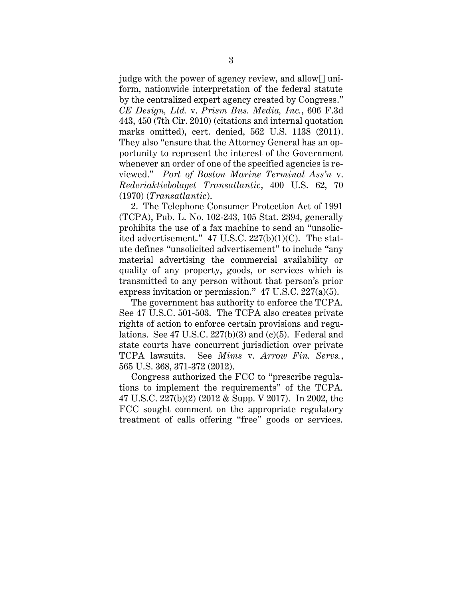judge with the power of agency review, and allow[] uniform, nationwide interpretation of the federal statute by the centralized expert agency created by Congress." *CE Design, Ltd.* v. *Prism Bus. Media, Inc.*, 606 F.3d 443, 450 (7th Cir. 2010) (citations and internal quotation marks omitted), cert. denied, 562 U.S. 1138 (2011). They also "ensure that the Attorney General has an opportunity to represent the interest of the Government whenever an order of one of the specified agencies is reviewed." *Port of Boston Marine Terminal Ass'n* v. *Rederiaktiebolaget Transatlantic*, 400 U.S. 62, 70 (1970) (*Transatlantic*).

2. The Telephone Consumer Protection Act of 1991 (TCPA), Pub. L. No. 102-243, 105 Stat. 2394, generally prohibits the use of a fax machine to send an "unsolicited advertisement."  $47 \text{ U.S.C. } 227(b)(1)(C)$ . The statute defines "unsolicited advertisement" to include "any material advertising the commercial availability or quality of any property, goods, or services which is transmitted to any person without that person's prior express invitation or permission." 47 U.S.C. 227(a)(5).

The government has authority to enforce the TCPA. See 47 U.S.C. 501-503. The TCPA also creates private rights of action to enforce certain provisions and regulations. See 47 U.S.C.  $227(b)(3)$  and (c)(5). Federal and state courts have concurrent jurisdiction over private TCPA lawsuits. See *Mims* v. *Arrow Fin. Servs.*, 565 U.S. 368, 371-372 (2012).

Congress authorized the FCC to "prescribe regulations to implement the requirements" of the TCPA. 47 U.S.C. 227(b)(2) (2012 & Supp. V 2017). In 2002, the FCC sought comment on the appropriate regulatory treatment of calls offering "free" goods or services.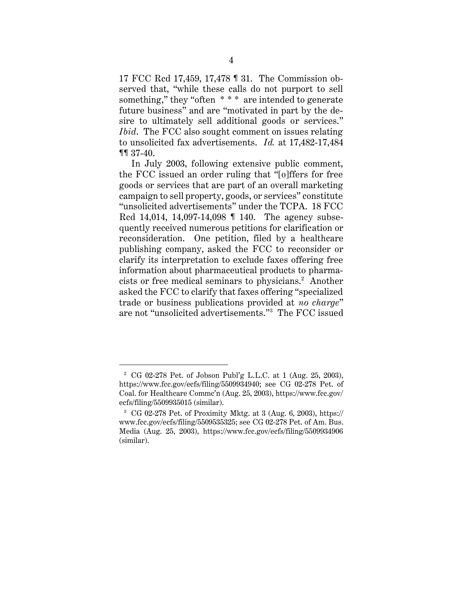17 FCC Rcd 17,459, 17,478 ¶ 31. The Commission observed that, "while these calls do not purport to sell something," they "often \* \* \* are intended to generate future business" and are "motivated in part by the desire to ultimately sell additional goods or services." *Ibid.* The FCC also sought comment on issues relating to unsolicited fax advertisements. *Id.* at 17,482-17,484 ¶¶ 37-40.

In July 2003, following extensive public comment, the FCC issued an order ruling that "[o]ffers for free goods or services that are part of an overall marketing campaign to sell property, goods, or services" constitute "unsolicited advertisements" under the TCPA. 18 FCC Rcd 14,014, 14,097-14,098 ¶ 140. The agency subsequently received numerous petitions for clarification or reconsideration. One petition, filed by a healthcare publishing company, asked the FCC to reconsider or clarify its interpretation to exclude faxes offering free information about pharmaceutical products to pharmacists or free medical seminars to physicians.<sup>2</sup> Another asked the FCC to clarify that faxes offering "specialized trade or business publications provided at *no charge*" are not "unsolicited advertisements."<sup>3</sup> The FCC issued

 $\ddot{\phantom{a}}$ 

<sup>2</sup> CG 02-278 Pet. of Jobson Publ'g L.L.C. at 1 (Aug. 25, 2003), https://www.fcc.gov/ecfs/filing/5509934940; see CG 02-278 Pet. of Coal. for Healthcare Commc'n (Aug. 25, 2003), https://www.fcc.gov/ ecfs/filing/5509935015 (similar).

<sup>3</sup> CG 02-278 Pet. of Proximity Mktg. at 3 (Aug. 6, 2003), https:// www.fcc.gov/ecfs/filing/5509535325; see CG 02-278 Pet. of Am. Bus. Media (Aug. 25, 2003), https://www.fcc.gov/ecfs/filing/5509934906 (similar).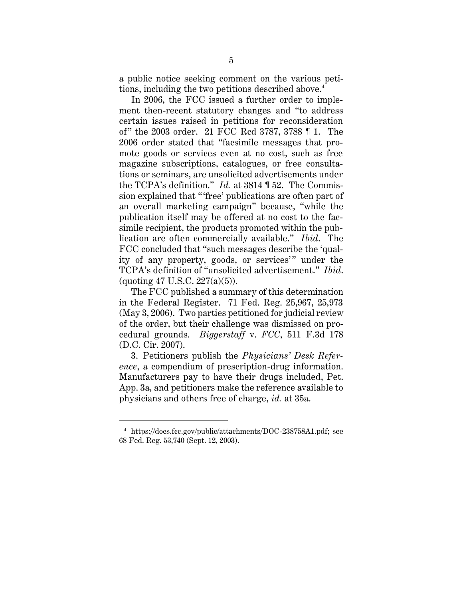a public notice seeking comment on the various petitions, including the two petitions described above. 4

In 2006, the FCC issued a further order to implement then-recent statutory changes and "to address certain issues raised in petitions for reconsideration of" the 2003 order. 21 FCC Rcd 3787, 3788 ¶ 1. The 2006 order stated that "facsimile messages that promote goods or services even at no cost, such as free magazine subscriptions, catalogues, or free consultations or seminars, are unsolicited advertisements under the TCPA's definition." *Id.* at 3814 ¶ 52. The Commission explained that " 'free' publications are often part of an overall marketing campaign" because, "while the publication itself may be offered at no cost to the facsimile recipient, the products promoted within the publication are often commercially available." *Ibid*. The FCC concluded that "such messages describe the 'quality of any property, goods, or services'" under the TCPA's definition of "unsolicited advertisement." *Ibid*.  $($ quoting 47 U.S.C. 227 $(a)(5)$ ).

The FCC published a summary of this determination in the Federal Register. 71 Fed. Reg. 25,967, 25,973 (May 3, 2006). Two parties petitioned for judicial review of the order, but their challenge was dismissed on procedural grounds. *Biggerstaff* v. *FCC*, 511 F.3d 178 (D.C. Cir. 2007).

3. Petitioners publish the *Physicians' Desk Reference*, a compendium of prescription-drug information. Manufacturers pay to have their drugs included, Pet. App. 3a, and petitioners make the reference available to physicians and others free of charge, *id.* at 35a.

 $\overline{a}$ 

<sup>4</sup> https://docs.fcc.gov/public/attachments/DOC-238758A1.pdf; see 68 Fed. Reg. 53,740 (Sept. 12, 2003).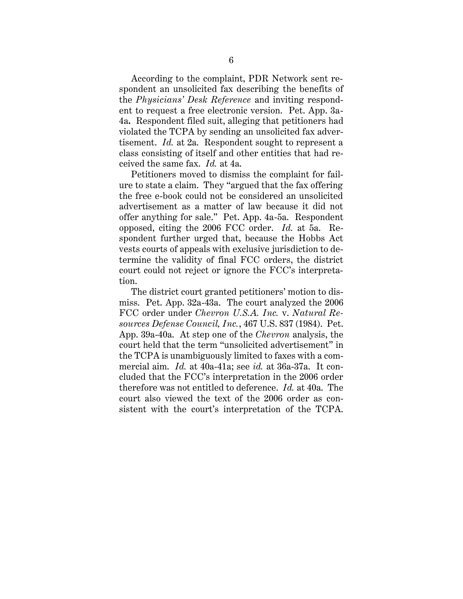According to the complaint, PDR Network sent respondent an unsolicited fax describing the benefits of the *Physicians' Desk Reference* and inviting respondent to request a free electronic version. Pet. App. 3a-4a**.** Respondent filed suit, alleging that petitioners had violated the TCPA by sending an unsolicited fax advertisement. *Id.* at 2a. Respondent sought to represent a class consisting of itself and other entities that had received the same fax. *Id.* at 4a.

Petitioners moved to dismiss the complaint for failure to state a claim. They "argued that the fax offering the free e-book could not be considered an unsolicited advertisement as a matter of law because it did not offer anything for sale." Pet. App. 4a-5a. Respondent opposed, citing the 2006 FCC order. *Id.* at 5a. Respondent further urged that, because the Hobbs Act vests courts of appeals with exclusive jurisdiction to determine the validity of final FCC orders, the district court could not reject or ignore the FCC's interpretation.

The district court granted petitioners' motion to dismiss. Pet. App. 32a-43a. The court analyzed the 2006 FCC order under *Chevron U.S.A. Inc.* v. *Natural Resources Defense Council, Inc.*, 467 U.S. 837 (1984). Pet. App. 39a-40a. At step one of the *Chevron* analysis, the court held that the term "unsolicited advertisement" in the TCPA is unambiguously limited to faxes with a commercial aim. *Id.* at 40a-41a; see *id.* at 36a-37a. It concluded that the FCC's interpretation in the 2006 order therefore was not entitled to deference. *Id.* at 40a. The court also viewed the text of the 2006 order as consistent with the court's interpretation of the TCPA.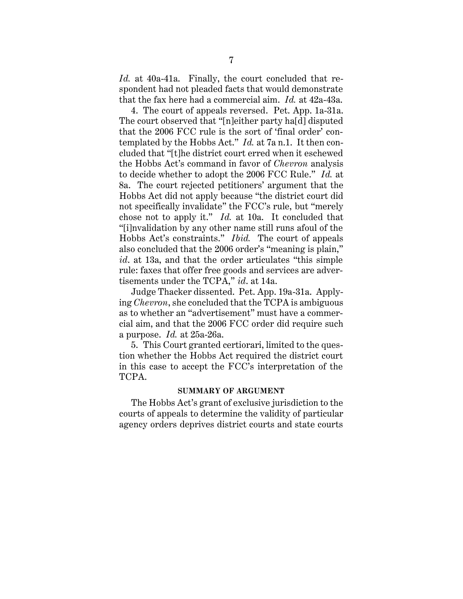*Id.* at 40a-41a.Finally, the court concluded that respondent had not pleaded facts that would demonstrate that the fax here had a commercial aim. *Id.* at 42a-43a.

4. The court of appeals reversed. Pet. App. 1a-31a. The court observed that "[n]either party ha[d] disputed that the 2006 FCC rule is the sort of 'final order' contemplated by the Hobbs Act." *Id.* at 7a n.1. It then concluded that "[t]he district court erred when it eschewed the Hobbs Act's command in favor of *Chevron* analysis to decide whether to adopt the 2006 FCC Rule." *Id.* at 8a. The court rejected petitioners' argument that the Hobbs Act did not apply because "the district court did not specifically invalidate" the FCC's rule, but "merely chose not to apply it." *Id.* at 10a. It concluded that "[i]nvalidation by any other name still runs afoul of the Hobbs Act's constraints." *Ibid.* The court of appeals also concluded that the 2006 order's "meaning is plain," *id*. at 13a, and that the order articulates "this simple rule: faxes that offer free goods and services are advertisements under the TCPA," *id*. at 14a.

Judge Thacker dissented. Pet. App. 19a-31a. Applying *Chevron*, she concluded that the TCPA is ambiguous as to whether an "advertisement" must have a commercial aim, and that the 2006 FCC order did require such a purpose. *Id.* at 25a-26a.

5. This Court granted certiorari, limited to the question whether the Hobbs Act required the district court in this case to accept the FCC's interpretation of the TCPA.

#### **SUMMARY OF ARGUMENT**

The Hobbs Act's grant of exclusive jurisdiction to the courts of appeals to determine the validity of particular agency orders deprives district courts and state courts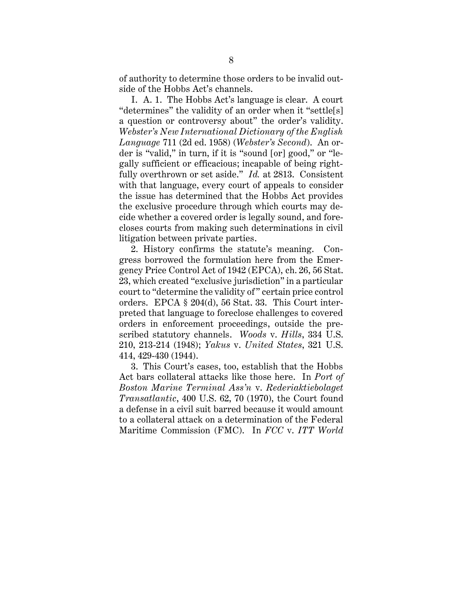of authority to determine those orders to be invalid outside of the Hobbs Act's channels.

I. A. 1. The Hobbs Act's language is clear. A court "determines" the validity of an order when it "settle[s] a question or controversy about" the order's validity. *Webster's New International Dictionary of the English Language* 711 (2d ed. 1958) (*Webster's Second*). An order is "valid," in turn, if it is "sound [or] good," or "legally sufficient or efficacious; incapable of being rightfully overthrown or set aside." *Id.* at 2813. Consistent with that language, every court of appeals to consider the issue has determined that the Hobbs Act provides the exclusive procedure through which courts may decide whether a covered order is legally sound, and forecloses courts from making such determinations in civil litigation between private parties.

2. History confirms the statute's meaning. Congress borrowed the formulation here from the Emergency Price Control Act of 1942 (EPCA), ch. 26, 56 Stat. 23, which created "exclusive jurisdiction" in a particular court to "determine the validity of " certain price control orders. EPCA § 204(d), 56 Stat. 33. This Court interpreted that language to foreclose challenges to covered orders in enforcement proceedings, outside the prescribed statutory channels. *Woods* v. *Hills*, 334 U.S. 210, 213-214 (1948); *Yakus* v. *United States*, 321 U.S. 414, 429-430 (1944).

3. This Court's cases, too, establish that the Hobbs Act bars collateral attacks like those here. In *Port of Boston Marine Terminal Ass'n* v. *Rederiaktiebolaget Transatlantic*, 400 U.S. 62, 70 (1970), the Court found a defense in a civil suit barred because it would amount to a collateral attack on a determination of the Federal Maritime Commission (FMC). In *FCC* v. *ITT World*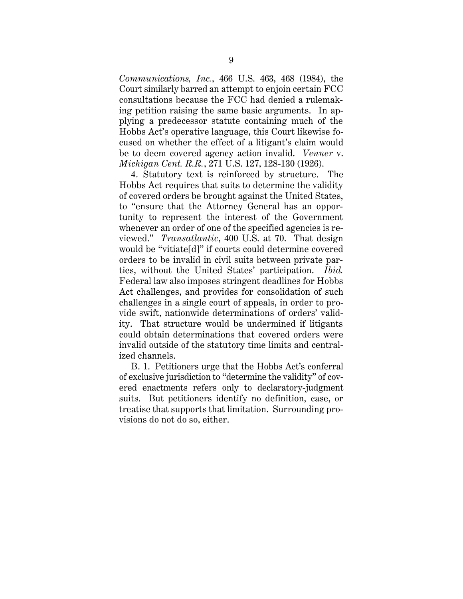*Communications, Inc.*, 466 U.S. 463, 468 (1984), the Court similarly barred an attempt to enjoin certain FCC consultations because the FCC had denied a rulemaking petition raising the same basic arguments. In applying a predecessor statute containing much of the Hobbs Act's operative language, this Court likewise focused on whether the effect of a litigant's claim would be to deem covered agency action invalid. *Venner* v. *Michigan Cent. R.R.*, 271 U.S. 127, 128-130 (1926).

4. Statutory text is reinforced by structure. The Hobbs Act requires that suits to determine the validity of covered orders be brought against the United States, to "ensure that the Attorney General has an opportunity to represent the interest of the Government whenever an order of one of the specified agencies is reviewed." *Transatlantic*, 400 U.S. at 70. That design would be "vitiate[d]" if courts could determine covered orders to be invalid in civil suits between private parties, without the United States' participation. *Ibid.* Federal law also imposes stringent deadlines for Hobbs Act challenges, and provides for consolidation of such challenges in a single court of appeals, in order to provide swift, nationwide determinations of orders' validity. That structure would be undermined if litigants could obtain determinations that covered orders were invalid outside of the statutory time limits and centralized channels.

B. 1. Petitioners urge that the Hobbs Act's conferral of exclusive jurisdiction to "determine the validity" of covered enactments refers only to declaratory-judgment suits. But petitioners identify no definition, case, or treatise that supports that limitation. Surrounding provisions do not do so, either.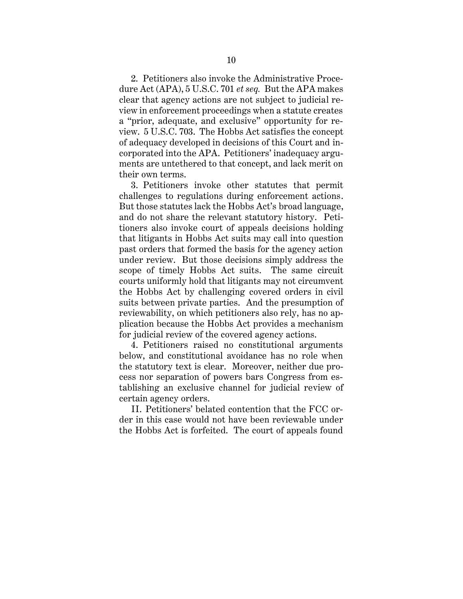2. Petitioners also invoke the Administrative Procedure Act (APA), 5 U.S.C. 701 *et seq.* But the APA makes clear that agency actions are not subject to judicial review in enforcement proceedings when a statute creates a "prior, adequate, and exclusive" opportunity for review. 5 U.S.C. 703. The Hobbs Act satisfies the concept of adequacy developed in decisions of this Court and incorporated into the APA. Petitioners' inadequacy arguments are untethered to that concept, and lack merit on their own terms.

3. Petitioners invoke other statutes that permit challenges to regulations during enforcement actions. But those statutes lack the Hobbs Act's broad language, and do not share the relevant statutory history. Petitioners also invoke court of appeals decisions holding that litigants in Hobbs Act suits may call into question past orders that formed the basis for the agency action under review. But those decisions simply address the scope of timely Hobbs Act suits. The same circuit courts uniformly hold that litigants may not circumvent the Hobbs Act by challenging covered orders in civil suits between private parties. And the presumption of reviewability, on which petitioners also rely, has no application because the Hobbs Act provides a mechanism for judicial review of the covered agency actions.

4. Petitioners raised no constitutional arguments below, and constitutional avoidance has no role when the statutory text is clear. Moreover, neither due process nor separation of powers bars Congress from establishing an exclusive channel for judicial review of certain agency orders.

II. Petitioners' belated contention that the FCC order in this case would not have been reviewable under the Hobbs Act is forfeited. The court of appeals found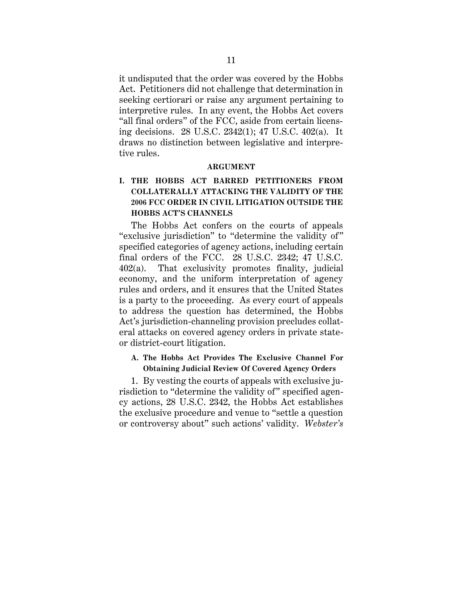it undisputed that the order was covered by the Hobbs Act. Petitioners did not challenge that determination in seeking certiorari or raise any argument pertaining to interpretive rules. In any event, the Hobbs Act covers "all final orders" of the FCC, aside from certain licensing decisions. 28 U.S.C. 2342(1); 47 U.S.C. 402(a). It draws no distinction between legislative and interpretive rules.

#### **ARGUMENT**

## **I. THE HOBBS ACT BARRED PETITIONERS FROM COLLATERALLY ATTACKING THE VALIDITY OF THE 2006 FCC ORDER IN CIVIL LITIGATION OUTSIDE THE HOBBS ACT'S CHANNELS**

The Hobbs Act confers on the courts of appeals "exclusive jurisdiction" to "determine the validity of " specified categories of agency actions, including certain final orders of the FCC. 28 U.S.C. 2342; 47 U.S.C. 402(a). That exclusivity promotes finality, judicial economy, and the uniform interpretation of agency rules and orders, and it ensures that the United States is a party to the proceeding. As every court of appeals to address the question has determined, the Hobbs Act's jurisdiction-channeling provision precludes collateral attacks on covered agency orders in private stateor district-court litigation.

## **A. The Hobbs Act Provides The Exclusive Channel For Obtaining Judicial Review Of Covered Agency Orders**

1. By vesting the courts of appeals with exclusive jurisdiction to "determine the validity of" specified agency actions, 28 U.S.C. 2342, the Hobbs Act establishes the exclusive procedure and venue to "settle a question or controversy about" such actions' validity. *Webster's*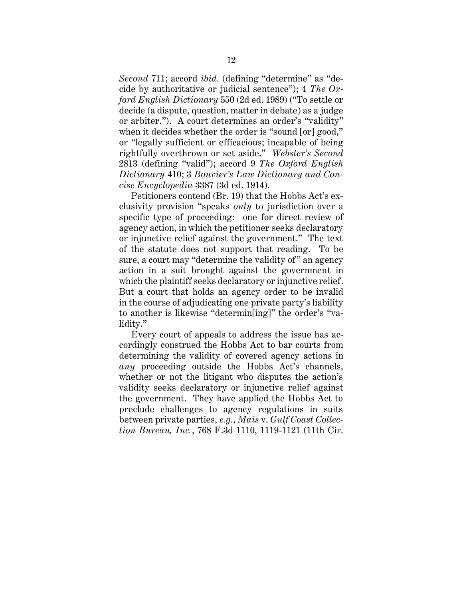*Second* 711; accord *ibid.* (defining "determine" as "decide by authoritative or judicial sentence"); 4 *The Oxford English Dictionary* 550 (2d ed. 1989) ("To settle or decide (a dispute, question, matter in debate) as a judge or arbiter."). A court determines an order's "validity" when it decides whether the order is "sound [or] good," or "legally sufficient or efficacious; incapable of being rightfully overthrown or set aside." *Webster's Second* 2813 (defining "valid"); accord 9 *The Oxford English Dictionary* 410; 3 *Bouvier's Law Dictionary and Concise Encyclopedia* 3387 (3d ed. 1914).

Petitioners contend (Br. 19) that the Hobbs Act's exclusivity provision "speaks *only* to jurisdiction over a specific type of proceeding: one for direct review of agency action, in which the petitioner seeks declaratory or injunctive relief against the government." The text of the statute does not support that reading. To be sure, a court may "determine the validity of" an agency action in a suit brought against the government in which the plaintiff seeks declaratory or injunctive relief. But a court that holds an agency order to be invalid in the course of adjudicating one private party's liability to another is likewise "determin[ing]" the order's "validity."

Every court of appeals to address the issue has accordingly construed the Hobbs Act to bar courts from determining the validity of covered agency actions in *any* proceeding outside the Hobbs Act's channels, whether or not the litigant who disputes the action's validity seeks declaratory or injunctive relief against the government. They have applied the Hobbs Act to preclude challenges to agency regulations in suits between private parties, *e.g.*, *Mais* v. *Gulf Coast Collection Bureau, Inc.*, 768 F.3d 1110, 1119-1121 (11th Cir.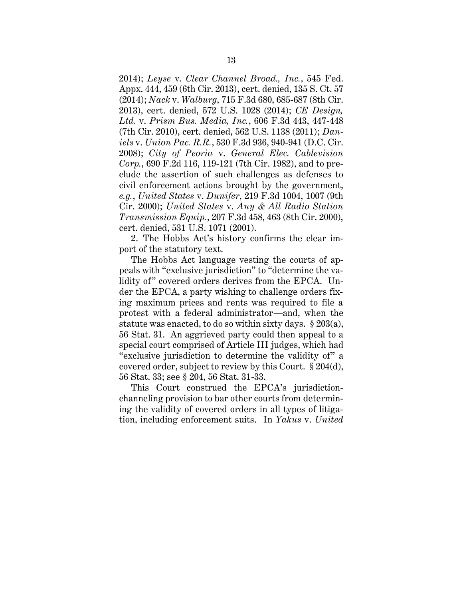2014); *Leyse* v. *Clear Channel Broad., Inc.*, 545 Fed. Appx. 444, 459 (6th Cir. 2013), cert. denied, 135 S. Ct. 57 (2014); *Nack* v. *Walburg*, 715 F.3d 680, 685-687 (8th Cir. 2013), cert. denied, 572 U.S. 1028 (2014); *CE Design, Ltd.* v. *Prism Bus. Media, Inc.*, 606 F.3d 443, 447-448 (7th Cir. 2010), cert. denied, 562 U.S. 1138 (2011); *Daniels* v. *Union Pac. R.R.*, 530 F.3d 936, 940-941 (D.C. Cir. 2008); *City of Peoria* v. *General Elec. Cablevision Corp.*, 690 F.2d 116, 119-121 (7th Cir. 1982), and to preclude the assertion of such challenges as defenses to civil enforcement actions brought by the government, *e.g.*, *United States* v. *Dunifer*, 219 F.3d 1004, 1007 (9th Cir. 2000); *United States* v. *Any & All Radio Station Transmission Equip.*, 207 F.3d 458, 463 (8th Cir. 2000), cert. denied, 531 U.S. 1071 (2001).

2. The Hobbs Act's history confirms the clear import of the statutory text.

The Hobbs Act language vesting the courts of appeals with "exclusive jurisdiction" to "determine the validity of" covered orders derives from the EPCA. Under the EPCA, a party wishing to challenge orders fixing maximum prices and rents was required to file a protest with a federal administrator—and, when the statute was enacted, to do so within sixty days. § 203(a), 56 Stat. 31. An aggrieved party could then appeal to a special court comprised of Article III judges, which had "exclusive jurisdiction to determine the validity of" a covered order, subject to review by this Court. § 204(d), 56 Stat. 33; see § 204, 56 Stat. 31-33.

This Court construed the EPCA's jurisdictionchanneling provision to bar other courts from determining the validity of covered orders in all types of litigation, including enforcement suits. In *Yakus* v. *United*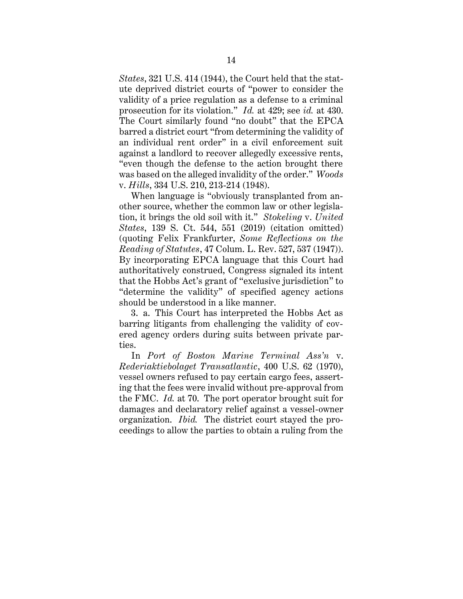*States*, 321 U.S. 414 (1944), the Court held that the statute deprived district courts of "power to consider the validity of a price regulation as a defense to a criminal prosecution for its violation." *Id.* at 429; see *id.* at 430. The Court similarly found "no doubt" that the EPCA barred a district court "from determining the validity of an individual rent order" in a civil enforcement suit against a landlord to recover allegedly excessive rents, "even though the defense to the action brought there was based on the alleged invalidity of the order." *Woods* v. *Hills*, 334 U.S. 210, 213-214 (1948).

When language is "obviously transplanted from another source, whether the common law or other legislation, it brings the old soil with it." *Stokeling* v. *United States*, 139 S. Ct. 544, 551 (2019) (citation omitted) (quoting Felix Frankfurter, *Some Reflections on the Reading of Statutes*, 47 Colum. L. Rev. 527, 537 (1947)). By incorporating EPCA language that this Court had authoritatively construed, Congress signaled its intent that the Hobbs Act's grant of "exclusive jurisdiction" to "determine the validity" of specified agency actions should be understood in a like manner.

3. a. This Court has interpreted the Hobbs Act as barring litigants from challenging the validity of covered agency orders during suits between private parties.

In *Port of Boston Marine Terminal Ass'n* v. *Rederiaktiebolaget Transatlantic*, 400 U.S. 62 (1970), vessel owners refused to pay certain cargo fees, asserting that the fees were invalid without pre-approval from the FMC. *Id.* at 70. The port operator brought suit for damages and declaratory relief against a vessel-owner organization. *Ibid.* The district court stayed the proceedings to allow the parties to obtain a ruling from the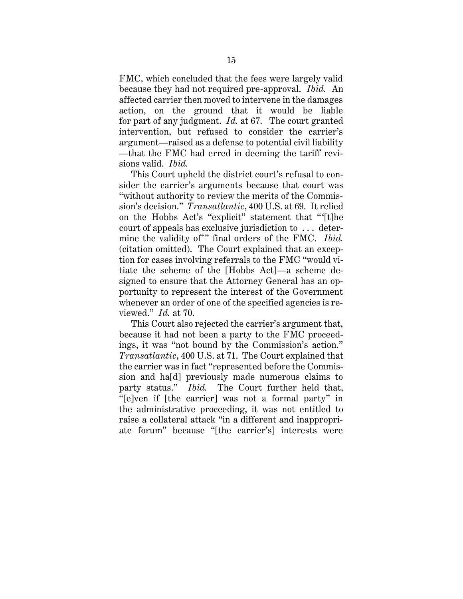FMC, which concluded that the fees were largely valid because they had not required pre-approval. *Ibid.* An affected carrier then moved to intervene in the damages action, on the ground that it would be liable for part of any judgment. *Id.* at 67. The court granted intervention, but refused to consider the carrier's argument—raised as a defense to potential civil liability —that the FMC had erred in deeming the tariff revisions valid. *Ibid.*

This Court upheld the district court's refusal to consider the carrier's arguments because that court was "without authority to review the merits of the Commission's decision." *Transatlantic*, 400 U.S. at 69. It relied on the Hobbs Act's "explicit" statement that " '[t]he court of appeals has exclusive jurisdiction to . . . determine the validity of'" final orders of the FMC. *Ibid.* (citation omitted). The Court explained that an exception for cases involving referrals to the FMC "would vitiate the scheme of the [Hobbs Act]—a scheme designed to ensure that the Attorney General has an opportunity to represent the interest of the Government whenever an order of one of the specified agencies is reviewed." *Id.* at 70.

This Court also rejected the carrier's argument that, because it had not been a party to the FMC proceedings, it was "not bound by the Commission's action." *Transatlantic*, 400 U.S. at 71. The Court explained that the carrier was in fact "represented before the Commission and ha[d] previously made numerous claims to party status." *Ibid.* The Court further held that, "[e]ven if [the carrier] was not a formal party" in the administrative proceeding, it was not entitled to raise a collateral attack "in a different and inappropriate forum" because "[the carrier's] interests were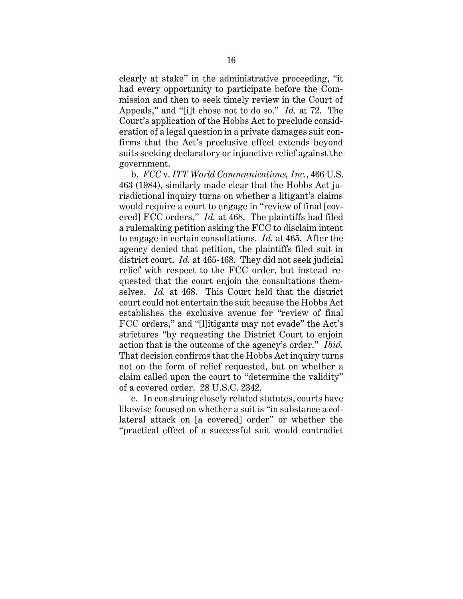clearly at stake" in the administrative proceeding, "it had every opportunity to participate before the Commission and then to seek timely review in the Court of Appeals," and "[i]t chose not to do so." *Id.* at 72. The Court's application of the Hobbs Act to preclude consideration of a legal question in a private damages suit confirms that the Act's preclusive effect extends beyond suits seeking declaratory or injunctive relief against the government.

b. *FCC* v. *ITT World Communications, Inc.*, 466 U.S. 463 (1984), similarly made clear that the Hobbs Act jurisdictional inquiry turns on whether a litigant's claims would require a court to engage in "review of final [covered] FCC orders." *Id.* at 468. The plaintiffs had filed a rulemaking petition asking the FCC to disclaim intent to engage in certain consultations. *Id.* at 465. After the agency denied that petition, the plaintiffs filed suit in district court. *Id.* at 465-468. They did not seek judicial relief with respect to the FCC order, but instead requested that the court enjoin the consultations themselves. *Id.* at 468. This Court held that the district court could not entertain the suit because the Hobbs Act establishes the exclusive avenue for "review of final FCC orders," and "[l]itigants may not evade" the Act's strictures "by requesting the District Court to enjoin action that is the outcome of the agency's order." *Ibid.* That decision confirms that the Hobbs Act inquiry turns not on the form of relief requested, but on whether a claim called upon the court to "determine the validity" of a covered order. 28 U.S.C. 2342.

c. In construing closely related statutes, courts have likewise focused on whether a suit is "in substance a collateral attack on [a covered] order" or whether the "practical effect of a successful suit would contradict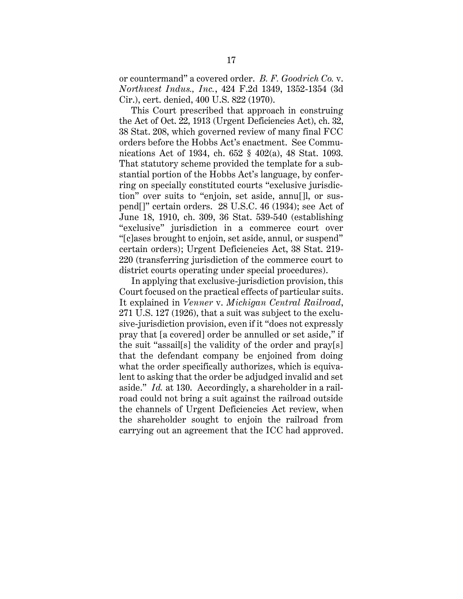or countermand" a covered order. *B. F. Goodrich Co.* v. *Northwest Indus., Inc.*, 424 F.2d 1349, 1352-1354 (3d Cir.), cert. denied, 400 U.S. 822 (1970).

This Court prescribed that approach in construing the Act of Oct. 22, 1913 (Urgent Deficiencies Act), ch. 32, 38 Stat. 208, which governed review of many final FCC orders before the Hobbs Act's enactment. See Communications Act of 1934, ch. 652 § 402(a), 48 Stat. 1093. That statutory scheme provided the template for a substantial portion of the Hobbs Act's language, by conferring on specially constituted courts "exclusive jurisdiction" over suits to "enjoin, set aside, annu[]l, or suspend[]" certain orders. 28 U.S.C. 46 (1934); see Act of June 18, 1910, ch. 309, 36 Stat. 539-540 (establishing "exclusive" jurisdiction in a commerce court over "[c]ases brought to enjoin, set aside, annul, or suspend" certain orders); Urgent Deficiencies Act, 38 Stat. 219- 220 (transferring jurisdiction of the commerce court to district courts operating under special procedures).

In applying that exclusive-jurisdiction provision, this Court focused on the practical effects of particular suits. It explained in *Venner* v. *Michigan Central Railroad*, 271 U.S. 127 (1926), that a suit was subject to the exclusive-jurisdiction provision, even if it "does not expressly pray that [a covered] order be annulled or set aside," if the suit "assail[s] the validity of the order and pray[s] that the defendant company be enjoined from doing what the order specifically authorizes, which is equivalent to asking that the order be adjudged invalid and set aside." *Id.* at 130. Accordingly, a shareholder in a railroad could not bring a suit against the railroad outside the channels of Urgent Deficiencies Act review, when the shareholder sought to enjoin the railroad from carrying out an agreement that the ICC had approved.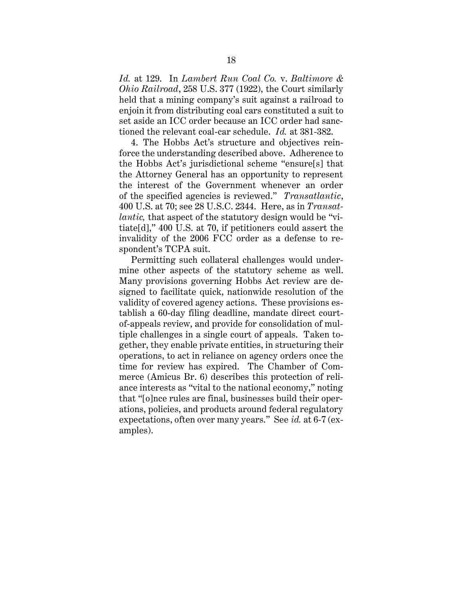*Id.* at 129. In *Lambert Run Coal Co.* v. *Baltimore & Ohio Railroad*, 258 U.S. 377 (1922), the Court similarly held that a mining company's suit against a railroad to enjoin it from distributing coal cars constituted a suit to set aside an ICC order because an ICC order had sanctioned the relevant coal-car schedule. *Id.* at 381-382.

4. The Hobbs Act's structure and objectives reinforce the understanding described above. Adherence to the Hobbs Act's jurisdictional scheme "ensure[s] that the Attorney General has an opportunity to represent the interest of the Government whenever an order of the specified agencies is reviewed." *Transatlantic*, 400 U.S. at 70; see 28 U.S.C. 2344. Here, as in *Transatlantic*, that aspect of the statutory design would be "vitiate[d]," 400 U.S. at 70, if petitioners could assert the invalidity of the 2006 FCC order as a defense to respondent's TCPA suit.

Permitting such collateral challenges would undermine other aspects of the statutory scheme as well. Many provisions governing Hobbs Act review are designed to facilitate quick, nationwide resolution of the validity of covered agency actions. These provisions establish a 60-day filing deadline, mandate direct courtof-appeals review, and provide for consolidation of multiple challenges in a single court of appeals. Taken together, they enable private entities, in structuring their operations, to act in reliance on agency orders once the time for review has expired. The Chamber of Commerce (Amicus Br. 6) describes this protection of reliance interests as "vital to the national economy," noting that "[o]nce rules are final, businesses build their operations, policies, and products around federal regulatory expectations, often over many years." See *id.* at 6-7 (examples).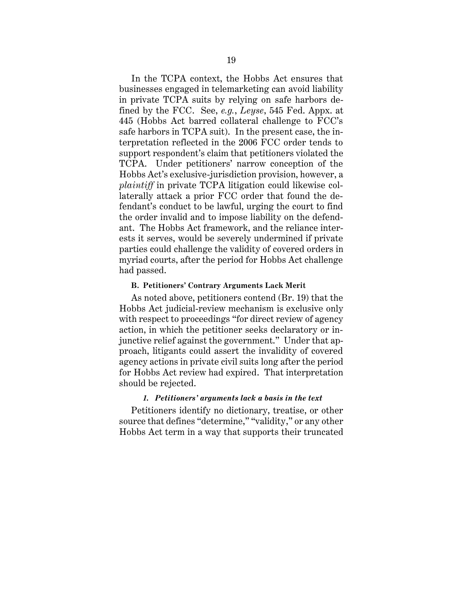In the TCPA context, the Hobbs Act ensures that businesses engaged in telemarketing can avoid liability in private TCPA suits by relying on safe harbors defined by the FCC. See, *e.g.*, *Leyse*, 545 Fed. Appx. at 445 (Hobbs Act barred collateral challenge to FCC's safe harbors in TCPA suit). In the present case, the interpretation reflected in the 2006 FCC order tends to support respondent's claim that petitioners violated the TCPA. Under petitioners' narrow conception of the Hobbs Act's exclusive-jurisdiction provision, however, a *plaintiff* in private TCPA litigation could likewise collaterally attack a prior FCC order that found the defendant's conduct to be lawful, urging the court to find the order invalid and to impose liability on the defendant. The Hobbs Act framework, and the reliance interests it serves, would be severely undermined if private parties could challenge the validity of covered orders in myriad courts, after the period for Hobbs Act challenge had passed.

#### **B. Petitioners' Contrary Arguments Lack Merit**

As noted above, petitioners contend (Br. 19) that the Hobbs Act judicial-review mechanism is exclusive only with respect to proceedings "for direct review of agency action, in which the petitioner seeks declaratory or injunctive relief against the government." Under that approach, litigants could assert the invalidity of covered agency actions in private civil suits long after the period for Hobbs Act review had expired. That interpretation should be rejected.

#### *1. Petitioners' arguments lack a basis in the text*

Petitioners identify no dictionary, treatise, or other source that defines "determine," "validity," or any other Hobbs Act term in a way that supports their truncated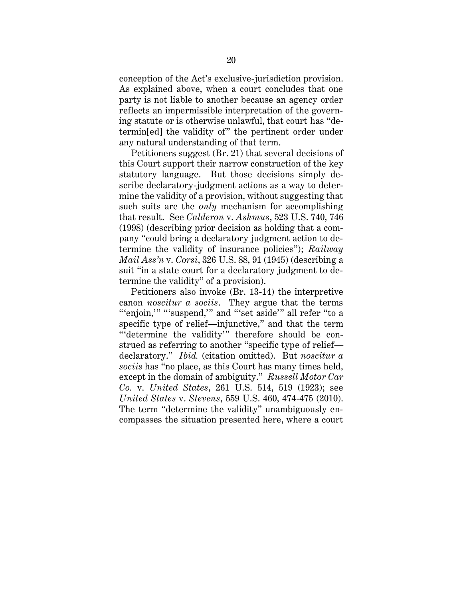conception of the Act's exclusive-jurisdiction provision. As explained above, when a court concludes that one party is not liable to another because an agency order reflects an impermissible interpretation of the governing statute or is otherwise unlawful, that court has "determin[ed] the validity of" the pertinent order under any natural understanding of that term.

Petitioners suggest (Br. 21) that several decisions of this Court support their narrow construction of the key statutory language. But those decisions simply describe declaratory-judgment actions as a way to determine the validity of a provision, without suggesting that such suits are the *only* mechanism for accomplishing that result. See *Calderon* v. *Ashmus*, 523 U.S. 740, 746 (1998) (describing prior decision as holding that a company "could bring a declaratory judgment action to determine the validity of insurance policies"); *Railway Mail Ass'n* v. *Corsi*, 326 U.S. 88, 91 (1945) (describing a suit "in a state court for a declaratory judgment to determine the validity" of a provision).

Petitioners also invoke (Br. 13-14) the interpretive canon *noscitur a sociis*. They argue that the terms "'enjoin," "'suspend," and "'set aside'" all refer "to a specific type of relief—injunctive," and that the term "'determine the validity'" therefore should be construed as referring to another "specific type of relief declaratory." *Ibid.* (citation omitted). But *noscitur a sociis* has "no place, as this Court has many times held, except in the domain of ambiguity." *Russell Motor Car Co.* v. *United States*, 261 U.S. 514, 519 (1923); see *United States* v. *Stevens*, 559 U.S. 460, 474-475 (2010). The term "determine the validity" unambiguously encompasses the situation presented here, where a court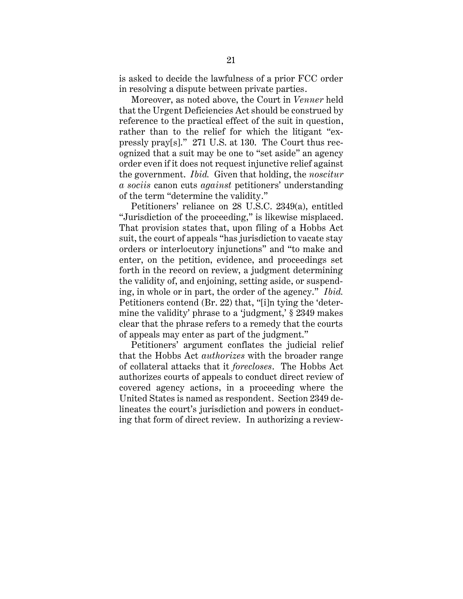is asked to decide the lawfulness of a prior FCC order in resolving a dispute between private parties.

Moreover, as noted above, the Court in *Venner* held that the Urgent Deficiencies Act should be construed by reference to the practical effect of the suit in question, rather than to the relief for which the litigant "expressly pray[s]." 271 U.S. at 130. The Court thus recognized that a suit may be one to "set aside" an agency order even if it does not request injunctive relief against the government. *Ibid.* Given that holding, the *noscitur a sociis* canon cuts *against* petitioners' understanding of the term "determine the validity."

Petitioners' reliance on 28 U.S.C. 2349(a), entitled "Jurisdiction of the proceeding," is likewise misplaced. That provision states that, upon filing of a Hobbs Act suit, the court of appeals "has jurisdiction to vacate stay orders or interlocutory injunctions" and "to make and enter, on the petition, evidence, and proceedings set forth in the record on review, a judgment determining the validity of, and enjoining, setting aside, or suspending, in whole or in part, the order of the agency." *Ibid.*  Petitioners contend (Br. 22) that, "[i]n tying the 'determine the validity' phrase to a 'judgment,' § 2349 makes clear that the phrase refers to a remedy that the courts of appeals may enter as part of the judgment."

Petitioners' argument conflates the judicial relief that the Hobbs Act *authorizes* with the broader range of collateral attacks that it *forecloses*. The Hobbs Act authorizes courts of appeals to conduct direct review of covered agency actions, in a proceeding where the United States is named as respondent. Section 2349 delineates the court's jurisdiction and powers in conducting that form of direct review. In authorizing a review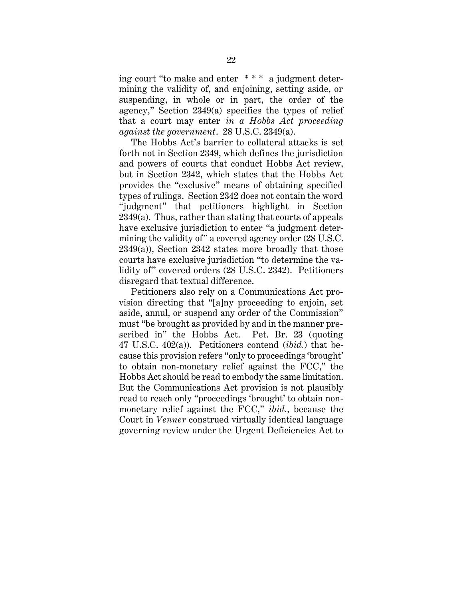ing court "to make and enter \* \* \* a judgment determining the validity of, and enjoining, setting aside, or suspending, in whole or in part, the order of the agency," Section 2349(a) specifies the types of relief that a court may enter *in a Hobbs Act proceeding against the government*. 28 U.S.C. 2349(a).

The Hobbs Act's barrier to collateral attacks is set forth not in Section 2349, which defines the jurisdiction and powers of courts that conduct Hobbs Act review, but in Section 2342, which states that the Hobbs Act provides the "exclusive" means of obtaining specified types of rulings. Section 2342 does not contain the word "judgment" that petitioners highlight in Section 2349(a). Thus, rather than stating that courts of appeals have exclusive jurisdiction to enter "a judgment determining the validity of" a covered agency order  $(28 \text{ U.S.C.})$ 2349(a)), Section 2342 states more broadly that those courts have exclusive jurisdiction "to determine the validity of" covered orders (28 U.S.C. 2342). Petitioners disregard that textual difference.

Petitioners also rely on a Communications Act provision directing that "[a]ny proceeding to enjoin, set aside, annul, or suspend any order of the Commission" must "be brought as provided by and in the manner prescribed in" the Hobbs Act. Pet. Br. 23 (quoting 47 U.S.C. 402(a)). Petitioners contend (*ibid.*) that because this provision refers "only to proceedings 'brought' to obtain non-monetary relief against the FCC," the Hobbs Act should be read to embody the same limitation. But the Communications Act provision is not plausibly read to reach only "proceedings 'brought' to obtain nonmonetary relief against the FCC," *ibid.*, because the Court in *Venner* construed virtually identical language governing review under the Urgent Deficiencies Act to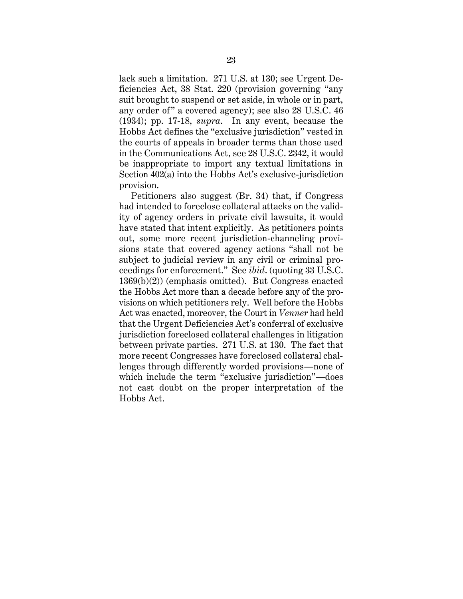lack such a limitation. 271 U.S. at 130; see Urgent Deficiencies Act, 38 Stat. 220 (provision governing "any suit brought to suspend or set aside, in whole or in part, any order of" a covered agency); see also 28 U.S.C. 46 (1934); pp. 17-18, *supra*. In any event, because the Hobbs Act defines the "exclusive jurisdiction" vested in the courts of appeals in broader terms than those used in the Communications Act, see 28 U.S.C. 2342, it would be inappropriate to import any textual limitations in Section 402(a) into the Hobbs Act's exclusive-jurisdiction provision.

Petitioners also suggest (Br. 34) that, if Congress had intended to foreclose collateral attacks on the validity of agency orders in private civil lawsuits, it would have stated that intent explicitly. As petitioners points out, some more recent jurisdiction-channeling provisions state that covered agency actions "shall not be subject to judicial review in any civil or criminal proceedings for enforcement." See *ibid*. (quoting 33 U.S.C. 1369(b)(2)) (emphasis omitted). But Congress enacted the Hobbs Act more than a decade before any of the provisions on which petitioners rely. Well before the Hobbs Act was enacted, moreover, the Court in *Venner* had held that the Urgent Deficiencies Act's conferral of exclusive jurisdiction foreclosed collateral challenges in litigation between private parties. 271 U.S. at 130. The fact that more recent Congresses have foreclosed collateral challenges through differently worded provisions—none of which include the term "exclusive jurisdiction"—does not cast doubt on the proper interpretation of the Hobbs Act.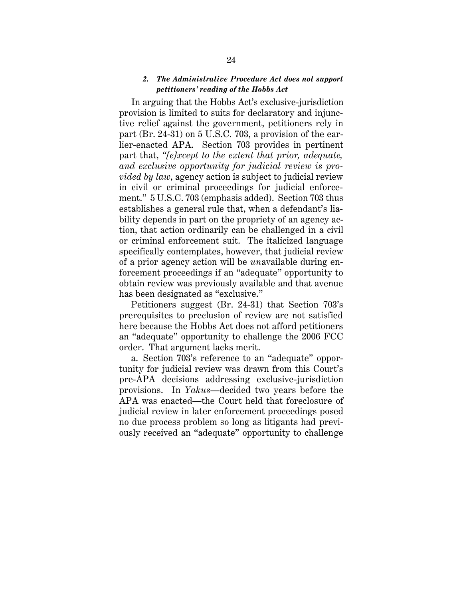## *2. The Administrative Procedure Act does not support petitioners' reading of the Hobbs Act*

In arguing that the Hobbs Act's exclusive-jurisdiction provision is limited to suits for declaratory and injunctive relief against the government, petitioners rely in part (Br. 24-31) on 5 U.S.C. 703, a provision of the earlier-enacted APA. Section 703 provides in pertinent part that, *"[e]xcept to the extent that prior, adequate, and exclusive opportunity for judicial review is provided by law*, agency action is subject to judicial review in civil or criminal proceedings for judicial enforcement." 5 U.S.C. 703 (emphasis added). Section 703 thus establishes a general rule that, when a defendant's liability depends in part on the propriety of an agency action, that action ordinarily can be challenged in a civil or criminal enforcement suit. The italicized language specifically contemplates, however, that judicial review of a prior agency action will be *un*available during enforcement proceedings if an "adequate" opportunity to obtain review was previously available and that avenue has been designated as "exclusive."

Petitioners suggest (Br. 24-31) that Section 703's prerequisites to preclusion of review are not satisfied here because the Hobbs Act does not afford petitioners an "adequate" opportunity to challenge the 2006 FCC order. That argument lacks merit.

a. Section 703's reference to an "adequate" opportunity for judicial review was drawn from this Court's pre-APA decisions addressing exclusive-jurisdiction provisions. In *Yakus*—decided two years before the APA was enacted—the Court held that foreclosure of judicial review in later enforcement proceedings posed no due process problem so long as litigants had previously received an "adequate" opportunity to challenge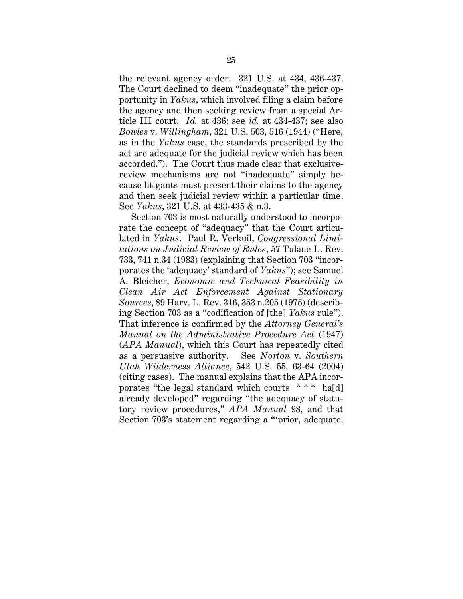the relevant agency order. 321 U.S. at 434, 436-437. The Court declined to deem "inadequate" the prior opportunity in *Yakus*, which involved filing a claim before the agency and then seeking review from a special Article III court. *Id.* at 436; see *id.* at 434-437; see also *Bowles* v. *Willingham*, 321 U.S. 503, 516 (1944) ("Here, as in the *Yakus* case, the standards prescribed by the act are adequate for the judicial review which has been accorded."). The Court thus made clear that exclusivereview mechanisms are not "inadequate" simply because litigants must present their claims to the agency and then seek judicial review within a particular time. See *Yakus*, 321 U.S. at 433-435 & n.3.

Section 703 is most naturally understood to incorporate the concept of "adequacy" that the Court articulated in *Yakus*. Paul R. Verkuil, *Congressional Limitations on Judicial Review of Rules*, 57 Tulane L. Rev. 733, 741 n.34 (1983) (explaining that Section 703 "incorporates the 'adequacy' standard of *Yakus*"); see Samuel A. Bleicher, *Economic and Technical Feasibility in Clean Air Act Enforcement Against Stationary Sources*, 89 Harv. L. Rev. 316, 353 n.205 (1975) (describing Section 703 as a "codification of [the] *Yakus* rule"). That inference is confirmed by the *Attorney General's Manual on the Administrative Procedure Act* (1947) (*APA Manual*), which this Court has repeatedly cited as a persuasive authority. See *Norton* v. *Southern Utah Wilderness Alliance*, 542 U.S. 55, 63-64 (2004) (citing cases). The manual explains that the APA incorporates "the legal standard which courts  $***$  hald] already developed" regarding "the adequacy of statutory review procedures," *APA Manual* 98, and that Section 703's statement regarding a "'prior, adequate,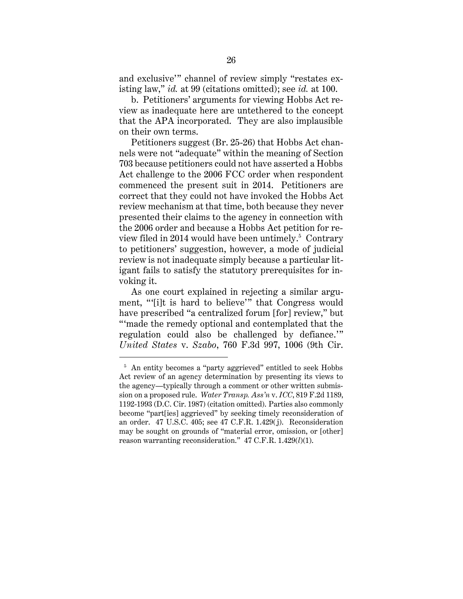and exclusive'" channel of review simply "restates existing law," *id.* at 99 (citations omitted); see *id.* at 100.

b. Petitioners' arguments for viewing Hobbs Act review as inadequate here are untethered to the concept that the APA incorporated. They are also implausible on their own terms.

Petitioners suggest (Br. 25-26) that Hobbs Act channels were not "adequate" within the meaning of Section 703 because petitioners could not have asserted a Hobbs Act challenge to the 2006 FCC order when respondent commenced the present suit in 2014. Petitioners are correct that they could not have invoked the Hobbs Act review mechanism at that time, both because they never presented their claims to the agency in connection with the 2006 order and because a Hobbs Act petition for review filed in 2014 would have been untimely. <sup>5</sup> Contrary to petitioners' suggestion, however, a mode of judicial review is not inadequate simply because a particular litigant fails to satisfy the statutory prerequisites for invoking it.

As one court explained in rejecting a similar argument, "'[i]t is hard to believe'" that Congress would have prescribed "a centralized forum [for] review," but "'made the remedy optional and contemplated that the regulation could also be challenged by defiance.'" *United States* v. *Szabo*, 760 F.3d 997, 1006 (9th Cir.

 $\ddot{\phantom{a}}$ 

<sup>&</sup>lt;sup>5</sup> An entity becomes a "party aggrieved" entitled to seek Hobbs Act review of an agency determination by presenting its views to the agency—typically through a comment or other written submission on a proposed rule. *Water Transp. Ass'n* v. *ICC*, 819 F.2d 1189, 1192-1993 (D.C. Cir. 1987) (citation omitted). Parties also commonly become "part[ies] aggrieved" by seeking timely reconsideration of an order. 47 U.S.C. 405; see 47 C.F.R. 1.429(j). Reconsideration may be sought on grounds of "material error, omission, or [other] reason warranting reconsideration." 47 C.F.R. 1.429(*l*)(1).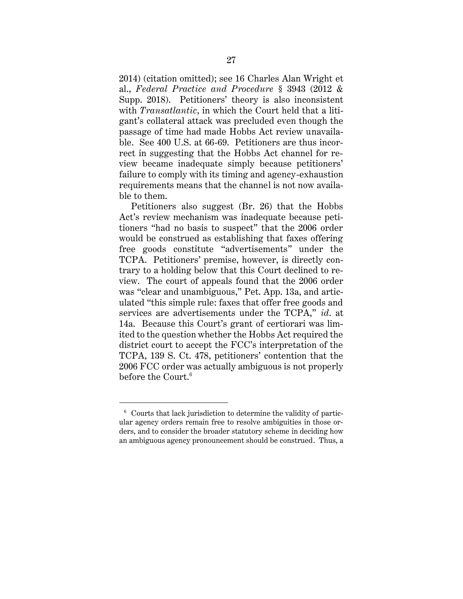2014) (citation omitted); see 16 Charles Alan Wright et al., *Federal Practice and Procedure* § 3943 (2012 & Supp. 2018). Petitioners' theory is also inconsistent with *Transatlantic*, in which the Court held that a litigant's collateral attack was precluded even though the passage of time had made Hobbs Act review unavailable. See 400 U.S. at 66-69. Petitioners are thus incorrect in suggesting that the Hobbs Act channel for review became inadequate simply because petitioners' failure to comply with its timing and agency-exhaustion requirements means that the channel is not now available to them.

Petitioners also suggest (Br. 26) that the Hobbs Act's review mechanism was inadequate because petitioners "had no basis to suspect" that the 2006 order would be construed as establishing that faxes offering free goods constitute "advertisements" under the TCPA. Petitioners' premise, however, is directly contrary to a holding below that this Court declined to review. The court of appeals found that the 2006 order was "clear and unambiguous," Pet. App. 13a, and articulated "this simple rule: faxes that offer free goods and services are advertisements under the TCPA," *id*. at 14a. Because this Court's grant of certiorari was limited to the question whether the Hobbs Act required the district court to accept the FCC's interpretation of the TCPA, 139 S. Ct. 478, petitioners' contention that the 2006 FCC order was actually ambiguous is not properly before the Court.<sup>6</sup>

 $\overline{a}$ 

 $6$  Courts that lack jurisdiction to determine the validity of particular agency orders remain free to resolve ambiguities in those orders, and to consider the broader statutory scheme in deciding how an ambiguous agency pronouncement should be construed. Thus, a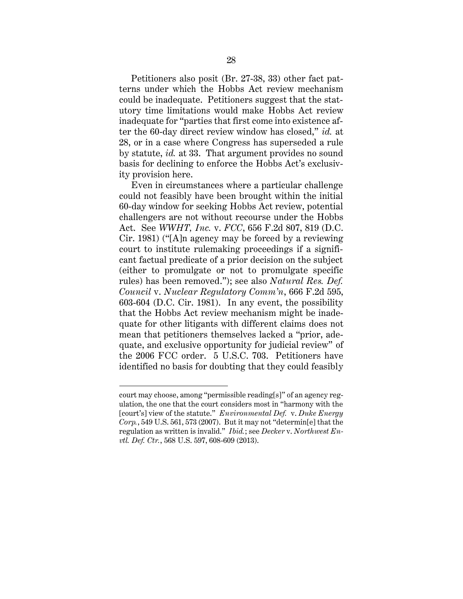Petitioners also posit (Br. 27-38, 33) other fact patterns under which the Hobbs Act review mechanism could be inadequate. Petitioners suggest that the statutory time limitations would make Hobbs Act review inadequate for "parties that first come into existence after the 60-day direct review window has closed," *id.* at 28, or in a case where Congress has superseded a rule by statute, *id.* at 33. That argument provides no sound basis for declining to enforce the Hobbs Act's exclusivity provision here.

Even in circumstances where a particular challenge could not feasibly have been brought within the initial 60-day window for seeking Hobbs Act review, potential challengers are not without recourse under the Hobbs Act. See *WWHT, Inc.* v. *FCC*, 656 F.2d 807, 819 (D.C. Cir. 1981) ("[A]n agency may be forced by a reviewing court to institute rulemaking proceedings if a significant factual predicate of a prior decision on the subject (either to promulgate or not to promulgate specific rules) has been removed."); see also *Natural Res. Def. Council* v. *Nuclear Regulatory Comm'n*, 666 F.2d 595, 603-604 (D.C. Cir. 1981). In any event, the possibility that the Hobbs Act review mechanism might be inadequate for other litigants with different claims does not mean that petitioners themselves lacked a "prior, adequate, and exclusive opportunity for judicial review" of the 2006 FCC order. 5 U.S.C. 703. Petitioners have identified no basis for doubting that they could feasibly

 $\overline{a}$ 

court may choose, among "permissible reading[s]" of an agency regulation, the one that the court considers most in "harmony with the [court's] view of the statute." *Environmental Def.* v. *Duke Energy Corp.*, 549 U.S. 561, 573 (2007). But it may not "determin[e] that the regulation as written is invalid." *Ibid.*; see *Decker* v. *Northwest Envtl. Def. Ctr.*, 568 U.S. 597, 608-609 (2013).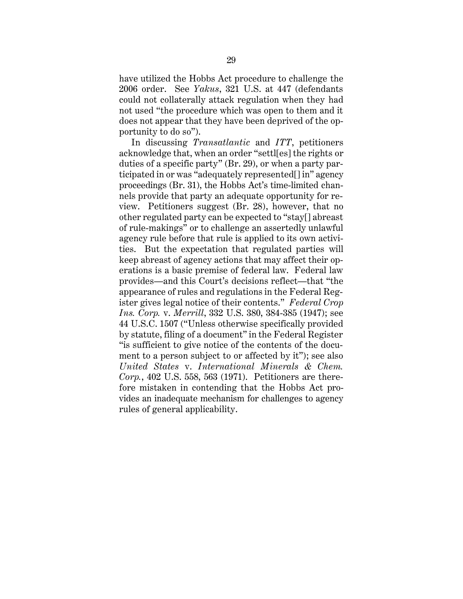have utilized the Hobbs Act procedure to challenge the 2006 order. See *Yakus*, 321 U.S. at 447 (defendants could not collaterally attack regulation when they had not used "the procedure which was open to them and it does not appear that they have been deprived of the opportunity to do so").

In discussing *Transatlantic* and *ITT*, petitioners acknowledge that, when an order "settl[es] the rights or duties of a specific party" (Br. 29), or when a party participated in or was "adequately represented[] in" agency proceedings (Br. 31), the Hobbs Act's time-limited channels provide that party an adequate opportunity for review. Petitioners suggest (Br. 28), however, that no other regulated party can be expected to "stay[] abreast of rule-makings" or to challenge an assertedly unlawful agency rule before that rule is applied to its own activities. But the expectation that regulated parties will keep abreast of agency actions that may affect their operations is a basic premise of federal law. Federal law provides—and this Court's decisions reflect—that "the appearance of rules and regulations in the Federal Register gives legal notice of their contents." *Federal Crop Ins. Corp.* v. *Merrill*, 332 U.S. 380, 384-385 (1947); see 44 U.S.C. 1507 ("Unless otherwise specifically provided by statute, filing of a document" in the Federal Register "is sufficient to give notice of the contents of the document to a person subject to or affected by it"); see also *United States* v. *International Minerals & Chem. Corp.*, 402 U.S. 558, 563 (1971). Petitioners are therefore mistaken in contending that the Hobbs Act provides an inadequate mechanism for challenges to agency rules of general applicability.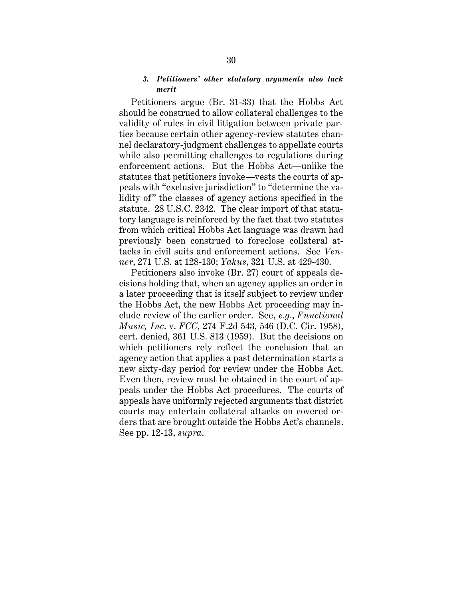#### *3. Petitioners' other statutory arguments also lack merit*

Petitioners argue (Br. 31-33) that the Hobbs Act should be construed to allow collateral challenges to the validity of rules in civil litigation between private parties because certain other agency-review statutes channel declaratory-judgment challenges to appellate courts while also permitting challenges to regulations during enforcement actions. But the Hobbs Act—unlike the statutes that petitioners invoke—vests the courts of appeals with "exclusive jurisdiction" to "determine the validity of" the classes of agency actions specified in the statute. 28 U.S.C. 2342. The clear import of that statutory language is reinforced by the fact that two statutes from which critical Hobbs Act language was drawn had previously been construed to foreclose collateral attacks in civil suits and enforcement actions. See *Venner*, 271 U.S. at 128-130; *Yakus*, 321 U.S. at 429-430.

Petitioners also invoke (Br. 27) court of appeals decisions holding that, when an agency applies an order in a later proceeding that is itself subject to review under the Hobbs Act, the new Hobbs Act proceeding may include review of the earlier order. See, *e.g.*, *Functional Music, Inc*. v. *FCC*, 274 F.2d 543, 546 (D.C. Cir. 1958), cert. denied, 361 U.S. 813 (1959). But the decisions on which petitioners rely reflect the conclusion that an agency action that applies a past determination starts a new sixty-day period for review under the Hobbs Act. Even then, review must be obtained in the court of appeals under the Hobbs Act procedures. The courts of appeals have uniformly rejected arguments that district courts may entertain collateral attacks on covered orders that are brought outside the Hobbs Act's channels. See pp. 12-13, *supra*.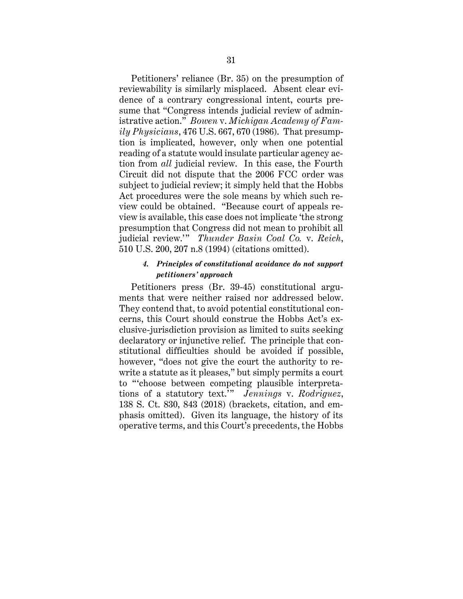Petitioners' reliance (Br. 35) on the presumption of reviewability is similarly misplaced. Absent clear evidence of a contrary congressional intent, courts presume that "Congress intends judicial review of administrative action." *Bowen* v. *Michigan Academy of Family Physicians*, 476 U.S. 667, 670 (1986). That presumption is implicated, however, only when one potential reading of a statute would insulate particular agency action from *all* judicial review. In this case, the Fourth Circuit did not dispute that the 2006 FCC order was subject to judicial review; it simply held that the Hobbs Act procedures were the sole means by which such review could be obtained. "Because court of appeals review is available, this case does not implicate 'the strong presumption that Congress did not mean to prohibit all judicial review.'" *Thunder Basin Coal Co.* v. *Reich*, 510 U.S. 200, 207 n.8 (1994) (citations omitted).

### *4. Principles of constitutional avoidance do not support petitioners' approach*

Petitioners press (Br. 39-45) constitutional arguments that were neither raised nor addressed below. They contend that, to avoid potential constitutional concerns, this Court should construe the Hobbs Act's exclusive-jurisdiction provision as limited to suits seeking declaratory or injunctive relief. The principle that constitutional difficulties should be avoided if possible, however, "does not give the court the authority to rewrite a statute as it pleases," but simply permits a court to "'choose between competing plausible interpretations of a statutory text.'" *Jennings* v. *Rodriguez*, 138 S. Ct. 830, 843 (2018) (brackets, citation, and emphasis omitted). Given its language, the history of its operative terms, and this Court's precedents, the Hobbs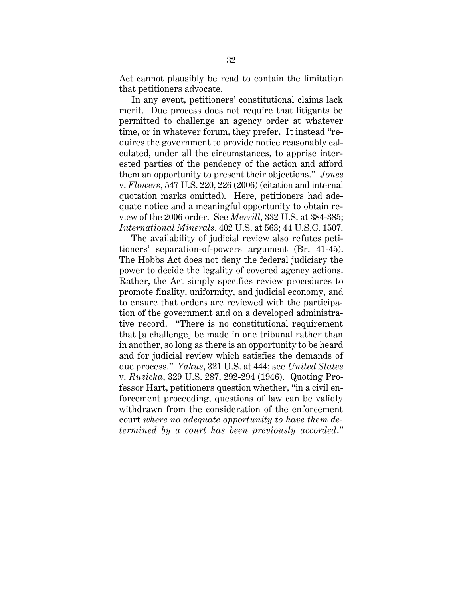Act cannot plausibly be read to contain the limitation that petitioners advocate.

In any event, petitioners' constitutional claims lack merit. Due process does not require that litigants be permitted to challenge an agency order at whatever time, or in whatever forum, they prefer. It instead "requires the government to provide notice reasonably calculated, under all the circumstances, to apprise interested parties of the pendency of the action and afford them an opportunity to present their objections." *Jones* v. *Flowers*, 547 U.S. 220, 226 (2006) (citation and internal quotation marks omitted). Here, petitioners had adequate notice and a meaningful opportunity to obtain review of the 2006 order. See *Merrill*, 332 U.S. at 384-385; *International Minerals*, 402 U.S. at 563; 44 U.S.C. 1507.

The availability of judicial review also refutes petitioners' separation-of-powers argument (Br. 41-45). The Hobbs Act does not deny the federal judiciary the power to decide the legality of covered agency actions. Rather, the Act simply specifies review procedures to promote finality, uniformity, and judicial economy, and to ensure that orders are reviewed with the participation of the government and on a developed administrative record. "There is no constitutional requirement that [a challenge] be made in one tribunal rather than in another, so long as there is an opportunity to be heard and for judicial review which satisfies the demands of due process." *Yakus*, 321 U.S. at 444; see *United States* v. *Ruzicka*, 329 U.S. 287, 292-294 (1946). Quoting Professor Hart, petitioners question whether, "in a civil enforcement proceeding, questions of law can be validly withdrawn from the consideration of the enforcement court *where no adequate opportunity to have them determined by a court has been previously accorded*."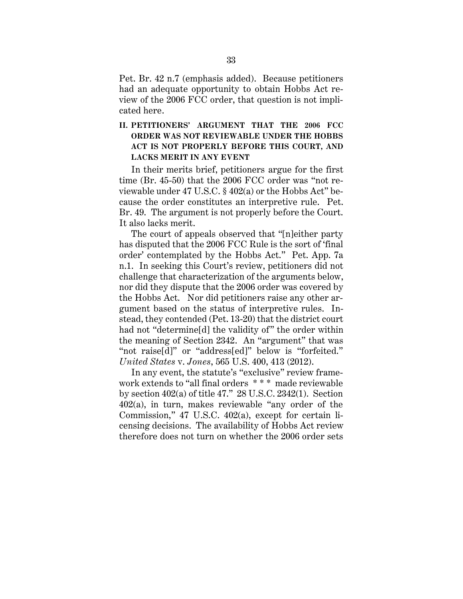Pet. Br. 42 n.7 (emphasis added). Because petitioners had an adequate opportunity to obtain Hobbs Act review of the 2006 FCC order, that question is not implicated here.

## **II. PETITIONERS' ARGUMENT THAT THE 2006 FCC ORDER WAS NOT REVIEWABLE UNDER THE HOBBS ACT IS NOT PROPERLY BEFORE THIS COURT, AND LACKS MERIT IN ANY EVENT**

In their merits brief, petitioners argue for the first time (Br. 45-50) that the 2006 FCC order was "not reviewable under 47 U.S.C. § 402(a) or the Hobbs Act" because the order constitutes an interpretive rule. Pet. Br. 49. The argument is not properly before the Court. It also lacks merit.

The court of appeals observed that "[n]either party has disputed that the 2006 FCC Rule is the sort of 'final order' contemplated by the Hobbs Act." Pet. App. 7a n.1. In seeking this Court's review, petitioners did not challenge that characterization of the arguments below, nor did they dispute that the 2006 order was covered by the Hobbs Act. Nor did petitioners raise any other argument based on the status of interpretive rules. Instead, they contended (Pet. 13-20) that the district court had not "determine[d] the validity of" the order within the meaning of Section 2342. An "argument" that was "not raise[d]" or "address[ed]" below is "forfeited." *United States* v. *Jones*, 565 U.S. 400, 413 (2012).

In any event, the statute's "exclusive" review framework extends to "all final orders \* \* \* made reviewable by section 402(a) of title 47." 28 U.S.C. 2342(1). Section 402(a), in turn, makes reviewable "any order of the Commission," 47 U.S.C. 402(a), except for certain licensing decisions. The availability of Hobbs Act review therefore does not turn on whether the 2006 order sets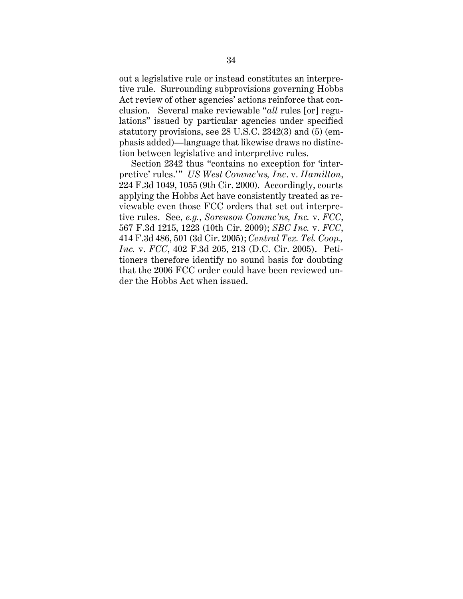out a legislative rule or instead constitutes an interpretive rule. Surrounding subprovisions governing Hobbs Act review of other agencies' actions reinforce that conclusion. Several make reviewable "*all* rules [or] regulations" issued by particular agencies under specified statutory provisions, see 28 U.S.C. 2342(3) and (5) (emphasis added)—language that likewise draws no distinction between legislative and interpretive rules.

Section 2342 thus "contains no exception for 'interpretive' rules.'" *US West Commc'ns, Inc*. v. *Hamilton*, 224 F.3d 1049, 1055 (9th Cir. 2000). Accordingly, courts applying the Hobbs Act have consistently treated as reviewable even those FCC orders that set out interpretive rules. See, *e.g.*, *Sorenson Commc'ns, Inc.* v. *FCC*, 567 F.3d 1215, 1223 (10th Cir. 2009); *SBC Inc.* v. *FCC*, 414 F.3d 486, 501 (3d Cir. 2005); *Central Tex. Tel. Coop., Inc.* v. *FCC*, 402 F.3d 205, 213 (D.C. Cir. 2005). Petitioners therefore identify no sound basis for doubting that the 2006 FCC order could have been reviewed under the Hobbs Act when issued.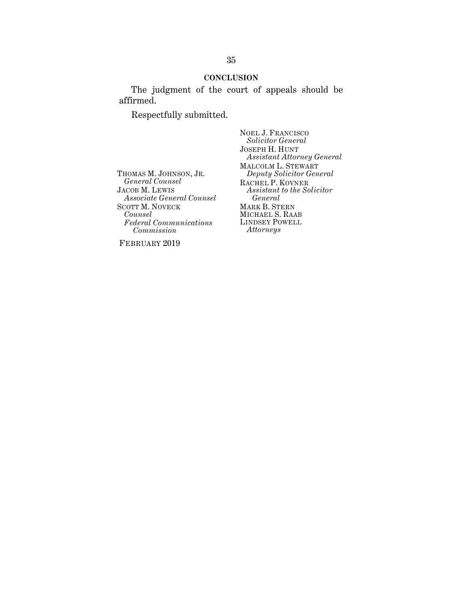#### **CONCLUSION**

The judgment of the court of appeals should be affirmed.

Respectfully submitted.

THOMAS M. JOHNSON, JR. *General Counsel*  JACOB M. LEWIS *Associate General Counsel* SCOTT M. NOVECK *Counsel Federal Communications Commission*

NOEL J. FRANCISCO *Solicitor General* JOSEPH H. HUNT *Assistant Attorney General* MALCOLM L. STEWART *Deputy Solicitor General* RACHEL P. KOVNER *Assistant to the Solicitor General* MARK B. STERN MICHAEL S. RAAB LINDSEY POWELL *Attorneys*

FEBRUARY 2019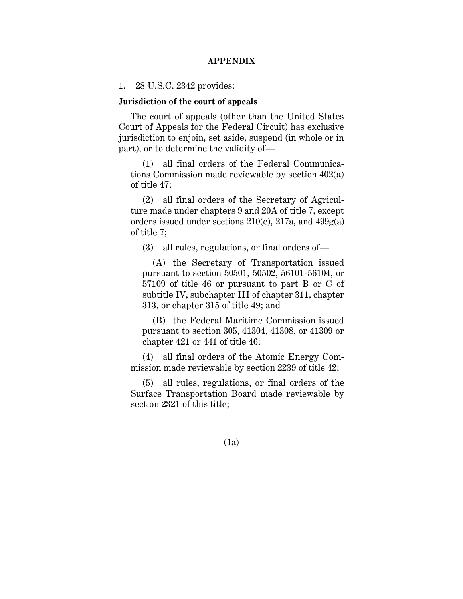#### **APPENDIX**

#### 1. 28 U.S.C. 2342 provides:

#### **Jurisdiction of the court of appeals**

The court of appeals (other than the United States Court of Appeals for the Federal Circuit) has exclusive jurisdiction to enjoin, set aside, suspend (in whole or in part), or to determine the validity of—

(1) all final orders of the Federal Communications Commission made reviewable by section 402(a) of title 47;

(2) all final orders of the Secretary of Agriculture made under chapters 9 and 20A of title 7, except orders issued under sections  $210(e)$ ,  $217a$ , and  $499g(a)$ of title 7;

(3) all rules, regulations, or final orders of—

(A) the Secretary of Transportation issued pursuant to section 50501, 50502, 56101-56104, or 57109 of title 46 or pursuant to part B or C of subtitle IV, subchapter III of chapter 311, chapter 313, or chapter 315 of title 49; and

(B) the Federal Maritime Commission issued pursuant to section 305, 41304, 41308, or 41309 or chapter 421 or 441 of title 46;

(4) all final orders of the Atomic Energy Commission made reviewable by section 2239 of title 42;

(5) all rules, regulations, or final orders of the Surface Transportation Board made reviewable by section 2321 of this title;

(1a)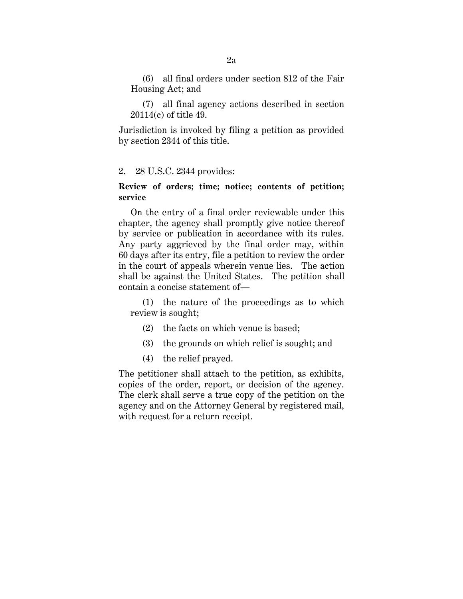(6) all final orders under section 812 of the Fair Housing Act; and

(7) all final agency actions described in section 20114(c) of title 49.

Jurisdiction is invoked by filing a petition as provided by section 2344 of this title.

#### 2. 28 U.S.C. 2344 provides:

## **Review of orders; time; notice; contents of petition; service**

On the entry of a final order reviewable under this chapter, the agency shall promptly give notice thereof by service or publication in accordance with its rules. Any party aggrieved by the final order may, within 60 days after its entry, file a petition to review the order in the court of appeals wherein venue lies. The action shall be against the United States. The petition shall contain a concise statement of—

(1) the nature of the proceedings as to which review is sought;

- (2) the facts on which venue is based;
- (3) the grounds on which relief is sought; and
- (4) the relief prayed.

The petitioner shall attach to the petition, as exhibits, copies of the order, report, or decision of the agency. The clerk shall serve a true copy of the petition on the agency and on the Attorney General by registered mail, with request for a return receipt.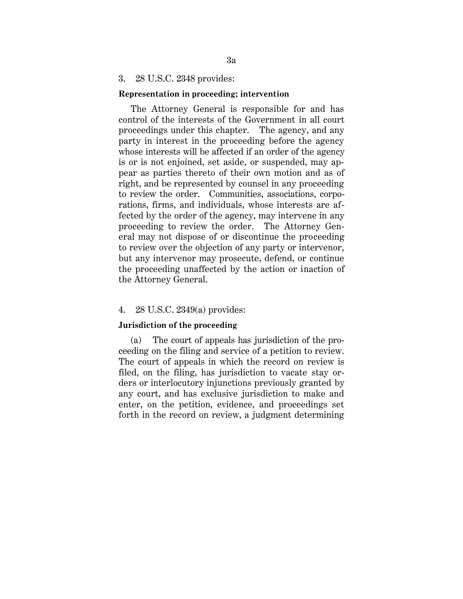#### 3. 28 U.S.C. 2348 provides:

#### **Representation in proceeding; intervention**

The Attorney General is responsible for and has control of the interests of the Government in all court proceedings under this chapter. The agency, and any party in interest in the proceeding before the agency whose interests will be affected if an order of the agency is or is not enjoined, set aside, or suspended, may appear as parties thereto of their own motion and as of right, and be represented by counsel in any proceeding to review the order. Communities, associations, corporations, firms, and individuals, whose interests are affected by the order of the agency, may intervene in any proceeding to review the order. The Attorney General may not dispose of or discontinue the proceeding to review over the objection of any party or intervenor, but any intervenor may prosecute, defend, or continue the proceeding unaffected by the action or inaction of the Attorney General.

#### 4. 28 U.S.C. 2349(a) provides:

#### **Jurisdiction of the proceeding**

(a) The court of appeals has jurisdiction of the proceeding on the filing and service of a petition to review. The court of appeals in which the record on review is filed, on the filing, has jurisdiction to vacate stay orders or interlocutory injunctions previously granted by any court, and has exclusive jurisdiction to make and enter, on the petition, evidence, and proceedings set forth in the record on review, a judgment determining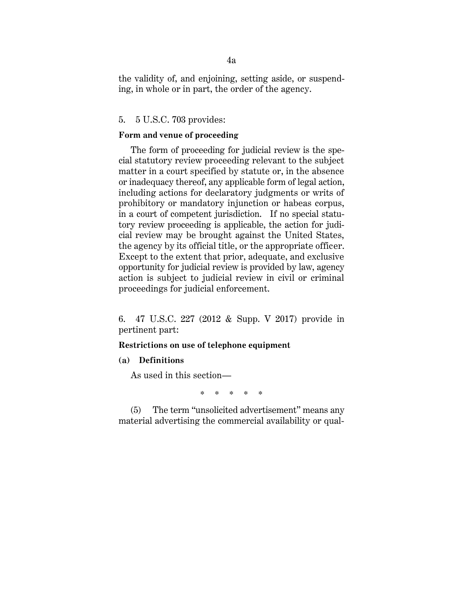the validity of, and enjoining, setting aside, or suspending, in whole or in part, the order of the agency.

## 5. 5 U.S.C. 703 provides:

#### **Form and venue of proceeding**

The form of proceeding for judicial review is the special statutory review proceeding relevant to the subject matter in a court specified by statute or, in the absence or inadequacy thereof, any applicable form of legal action, including actions for declaratory judgments or writs of prohibitory or mandatory injunction or habeas corpus, in a court of competent jurisdiction. If no special statutory review proceeding is applicable, the action for judicial review may be brought against the United States, the agency by its official title, or the appropriate officer. Except to the extent that prior, adequate, and exclusive opportunity for judicial review is provided by law, agency action is subject to judicial review in civil or criminal proceedings for judicial enforcement.

6. 47 U.S.C. 227 (2012 & Supp. V 2017) provide in pertinent part:

## **Restrictions on use of telephone equipment**

#### **(a) Definitions**

As used in this section—

\* \* \* \* \*

(5) The term "unsolicited advertisement" means any material advertising the commercial availability or qual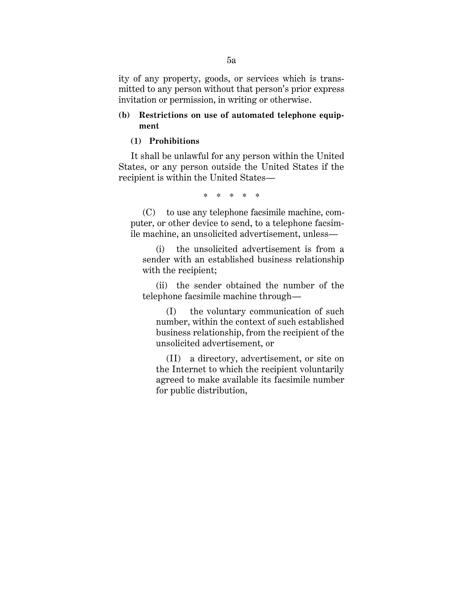ity of any property, goods, or services which is transmitted to any person without that person's prior express invitation or permission, in writing or otherwise.

## **(b) Restrictions on use of automated telephone equipment**

## **(1) Prohibitions**

It shall be unlawful for any person within the United States, or any person outside the United States if the recipient is within the United States—

\* \* \* \* \*

(C) to use any telephone facsimile machine, computer, or other device to send, to a telephone facsimile machine, an unsolicited advertisement, unless—

(i) the unsolicited advertisement is from a sender with an established business relationship with the recipient;

(ii) the sender obtained the number of the telephone facsimile machine through—

(I) the voluntary communication of such number, within the context of such established business relationship, from the recipient of the unsolicited advertisement, or

(II) a directory, advertisement, or site on the Internet to which the recipient voluntarily agreed to make available its facsimile number for public distribution,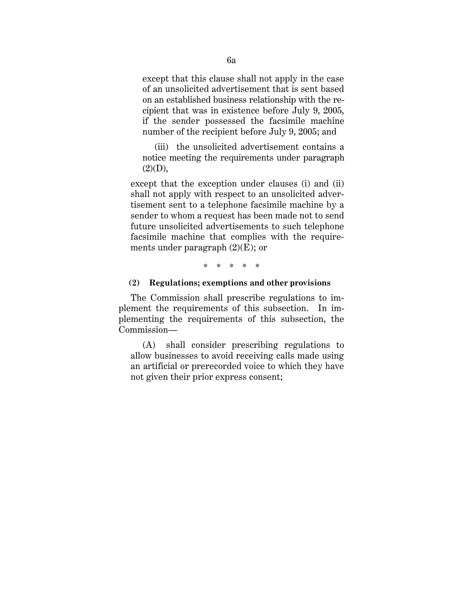except that this clause shall not apply in the case of an unsolicited advertisement that is sent based on an established business relationship with the recipient that was in existence before July 9, 2005, if the sender possessed the facsimile machine number of the recipient before July 9, 2005; and

(iii) the unsolicited advertisement contains a notice meeting the requirements under paragraph  $(2)(D)$ ,

except that the exception under clauses (i) and (ii) shall not apply with respect to an unsolicited advertisement sent to a telephone facsimile machine by a sender to whom a request has been made not to send future unsolicited advertisements to such telephone facsimile machine that complies with the requirements under paragraph  $(2)(E)$ ; or

\* \* \* \* \*

#### **(2) Regulations; exemptions and other provisions**

The Commission shall prescribe regulations to implement the requirements of this subsection. In implementing the requirements of this subsection, the Commission—

(A) shall consider prescribing regulations to allow businesses to avoid receiving calls made using an artificial or prerecorded voice to which they have not given their prior express consent;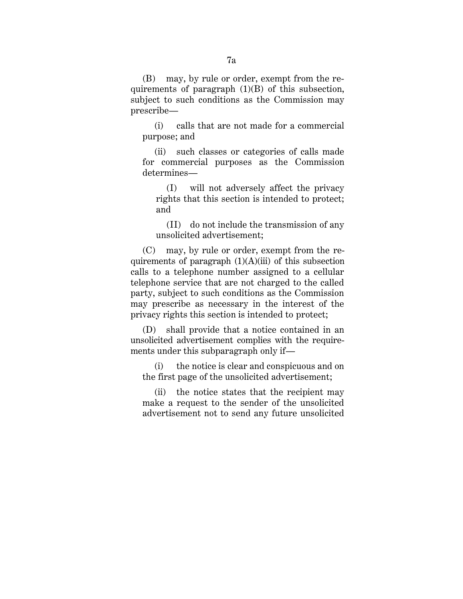(B) may, by rule or order, exempt from the requirements of paragraph (1)(B) of this subsection, subject to such conditions as the Commission may prescribe—

(i) calls that are not made for a commercial purpose; and

(ii) such classes or categories of calls made for commercial purposes as the Commission determines—

(I) will not adversely affect the privacy rights that this section is intended to protect; and

(II) do not include the transmission of any unsolicited advertisement;

(C) may, by rule or order, exempt from the requirements of paragraph  $(1)(A)(iii)$  of this subsection calls to a telephone number assigned to a cellular telephone service that are not charged to the called party, subject to such conditions as the Commission may prescribe as necessary in the interest of the privacy rights this section is intended to protect;

(D) shall provide that a notice contained in an unsolicited advertisement complies with the requirements under this subparagraph only if—

(i) the notice is clear and conspicuous and on the first page of the unsolicited advertisement;

(ii) the notice states that the recipient may make a request to the sender of the unsolicited advertisement not to send any future unsolicited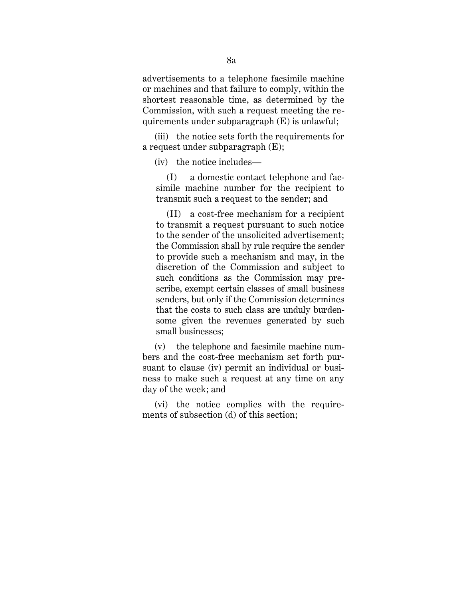advertisements to a telephone facsimile machine or machines and that failure to comply, within the shortest reasonable time, as determined by the Commission, with such a request meeting the requirements under subparagraph (E) is unlawful;

(iii) the notice sets forth the requirements for a request under subparagraph (E);

(iv) the notice includes—

(I) a domestic contact telephone and facsimile machine number for the recipient to transmit such a request to the sender; and

(II) a cost-free mechanism for a recipient to transmit a request pursuant to such notice to the sender of the unsolicited advertisement; the Commission shall by rule require the sender to provide such a mechanism and may, in the discretion of the Commission and subject to such conditions as the Commission may prescribe, exempt certain classes of small business senders, but only if the Commission determines that the costs to such class are unduly burdensome given the revenues generated by such small businesses;

(v) the telephone and facsimile machine numbers and the cost-free mechanism set forth pursuant to clause (iv) permit an individual or business to make such a request at any time on any day of the week; and

(vi) the notice complies with the requirements of subsection (d) of this section;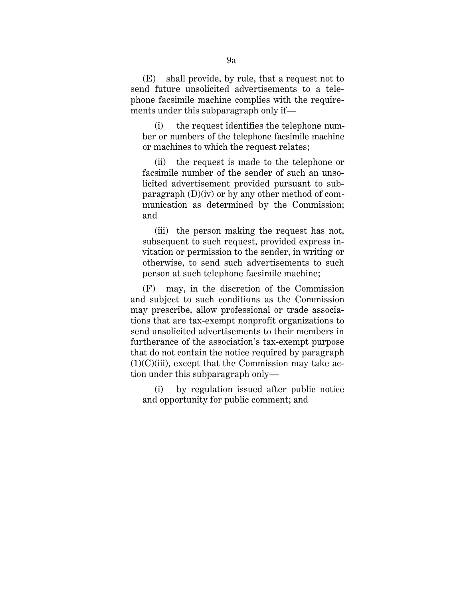(E) shall provide, by rule, that a request not to send future unsolicited advertisements to a telephone facsimile machine complies with the requirements under this subparagraph only if—

(i) the request identifies the telephone number or numbers of the telephone facsimile machine or machines to which the request relates;

(ii) the request is made to the telephone or facsimile number of the sender of such an unsolicited advertisement provided pursuant to subparagraph (D)(iv) or by any other method of communication as determined by the Commission; and

(iii) the person making the request has not, subsequent to such request, provided express invitation or permission to the sender, in writing or otherwise, to send such advertisements to such person at such telephone facsimile machine;

(F) may, in the discretion of the Commission and subject to such conditions as the Commission may prescribe, allow professional or trade associations that are tax-exempt nonprofit organizations to send unsolicited advertisements to their members in furtherance of the association's tax-exempt purpose that do not contain the notice required by paragraph  $(1)(C)(iii)$ , except that the Commission may take action under this subparagraph only—

(i) by regulation issued after public notice and opportunity for public comment; and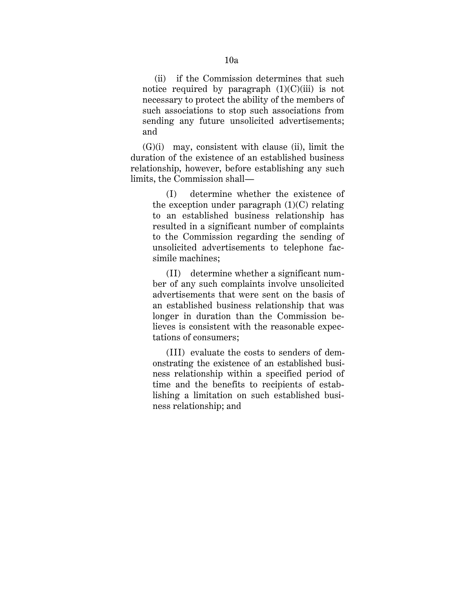(ii) if the Commission determines that such notice required by paragraph  $(1)(C)(iii)$  is not necessary to protect the ability of the members of such associations to stop such associations from sending any future unsolicited advertisements; and

(G)(i) may, consistent with clause (ii), limit the duration of the existence of an established business relationship, however, before establishing any such limits, the Commission shall—

> (I) determine whether the existence of the exception under paragraph  $(1)(C)$  relating to an established business relationship has resulted in a significant number of complaints to the Commission regarding the sending of unsolicited advertisements to telephone facsimile machines;

> (II) determine whether a significant number of any such complaints involve unsolicited advertisements that were sent on the basis of an established business relationship that was longer in duration than the Commission believes is consistent with the reasonable expectations of consumers;

> (III) evaluate the costs to senders of demonstrating the existence of an established business relationship within a specified period of time and the benefits to recipients of establishing a limitation on such established business relationship; and